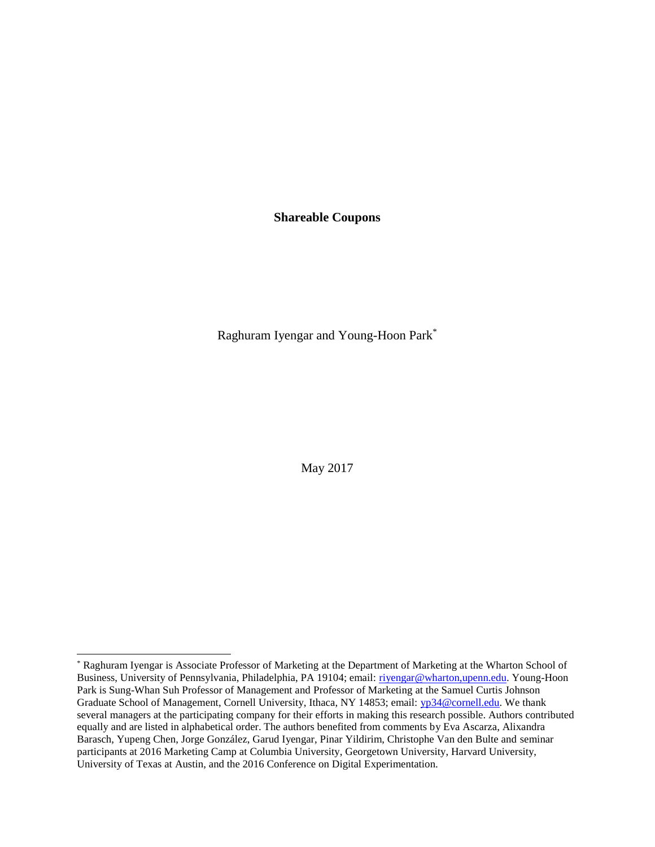**Shareable Coupons**

Raghuram Iyengar and Young-Hoon Park\*

May 2017

l

<sup>\*</sup> Raghuram Iyengar is Associate Professor of Marketing at the Department of Marketing at the Wharton School of Business, University of Pennsylvania, Philadelphia, PA 19104; email: rivengar@wharton,upenn.edu. Young-Hoon Park is Sung-Whan Suh Professor of Management and Professor of Marketing at the Samuel Curtis Johnson Graduate School of Management, Cornell University, Ithaca, NY 14853; email: [yp34@cornell.edu.](mailto:yp34@cornell.edu) We thank several managers at the participating company for their efforts in making this research possible. Authors contributed equally and are listed in alphabetical order. The authors benefited from comments by Eva Ascarza, Alixandra Barasch, Yupeng Chen, Jorge González, Garud Iyengar, Pinar Yildirim, Christophe Van den Bulte and seminar participants at 2016 Marketing Camp at Columbia University, Georgetown University, Harvard University, University of Texas at Austin, and the 2016 Conference on Digital Experimentation.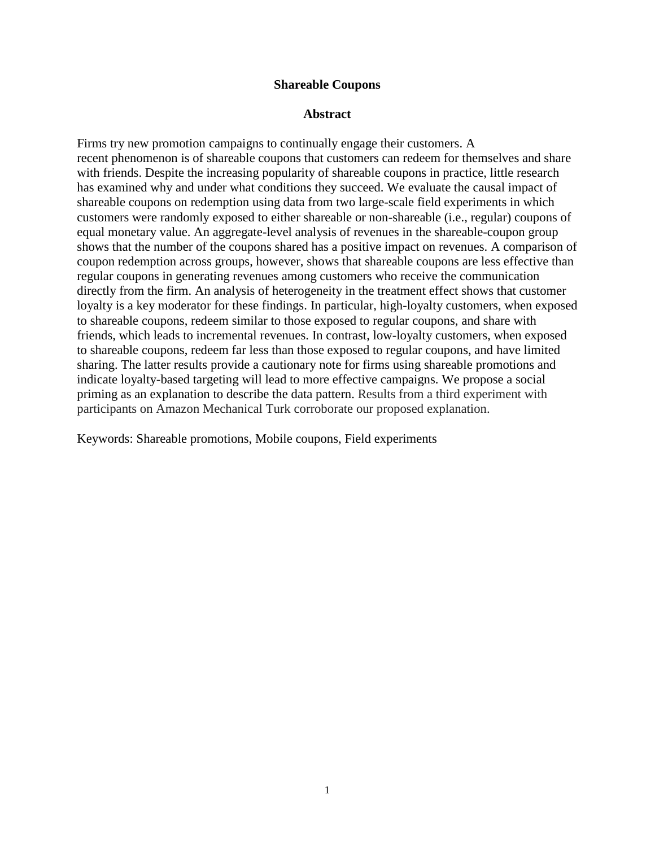## **Shareable Coupons**

## **Abstract**

Firms try new promotion campaigns to continually engage their customers. A recent phenomenon is of shareable coupons that customers can redeem for themselves and share with friends. Despite the increasing popularity of shareable coupons in practice, little research has examined why and under what conditions they succeed. We evaluate the causal impact of shareable coupons on redemption using data from two large-scale field experiments in which customers were randomly exposed to either shareable or non-shareable (i.e., regular) coupons of equal monetary value. An aggregate-level analysis of revenues in the shareable-coupon group shows that the number of the coupons shared has a positive impact on revenues. A comparison of coupon redemption across groups, however, shows that shareable coupons are less effective than regular coupons in generating revenues among customers who receive the communication directly from the firm. An analysis of heterogeneity in the treatment effect shows that customer loyalty is a key moderator for these findings. In particular, high-loyalty customers, when exposed to shareable coupons, redeem similar to those exposed to regular coupons, and share with friends, which leads to incremental revenues. In contrast, low-loyalty customers, when exposed to shareable coupons, redeem far less than those exposed to regular coupons, and have limited sharing. The latter results provide a cautionary note for firms using shareable promotions and indicate loyalty-based targeting will lead to more effective campaigns. We propose a social priming as an explanation to describe the data pattern. Results from a third experiment with participants on Amazon Mechanical Turk corroborate our proposed explanation.

Keywords: Shareable promotions, Mobile coupons, Field experiments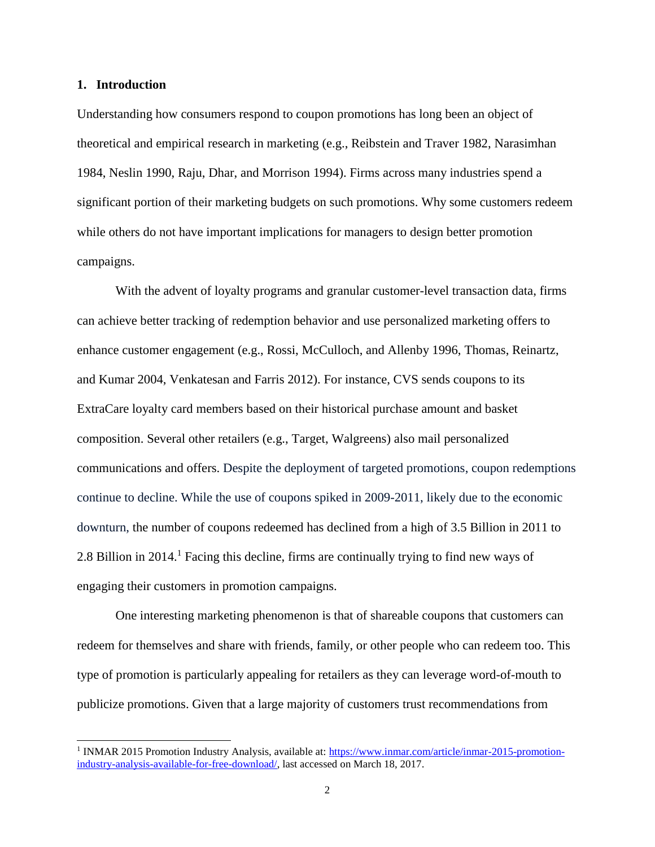#### **1. Introduction**

 $\overline{a}$ 

Understanding how consumers respond to coupon promotions has long been an object of theoretical and empirical research in marketing (e.g., Reibstein and Traver 1982, Narasimhan 1984, Neslin 1990, Raju, Dhar, and Morrison 1994). Firms across many industries spend a significant portion of their marketing budgets on such promotions. Why some customers redeem while others do not have important implications for managers to design better promotion campaigns.

With the advent of loyalty programs and granular customer-level transaction data, firms can achieve better tracking of redemption behavior and use personalized marketing offers to enhance customer engagement (e.g., Rossi, McCulloch, and Allenby 1996, Thomas, Reinartz, and Kumar 2004, Venkatesan and Farris 2012). For instance, CVS sends coupons to its ExtraCare loyalty card members based on their historical purchase amount and basket composition. Several other retailers (e.g., Target, Walgreens) also mail personalized communications and offers. Despite the deployment of targeted promotions, coupon redemptions continue to decline. While the use of coupons spiked in 2009-2011, likely due to the economic downturn, the number of coupons redeemed has declined from a high of 3.5 Billion in 2011 to 2.8 Billion in 2014.<sup>1</sup> Facing this decline, firms are continually trying to find new ways of engaging their customers in promotion campaigns.

One interesting marketing phenomenon is that of shareable coupons that customers can redeem for themselves and share with friends, family, or other people who can redeem too. This type of promotion is particularly appealing for retailers as they can leverage word-of-mouth to publicize promotions. Given that a large majority of customers trust recommendations from

<sup>&</sup>lt;sup>1</sup> INMAR 2015 Promotion Industry Analysis, available at: [https://www.inmar.com/article/inmar-2015-promotion](https://www.inmar.com/article/inmar-2015-promotion-industry-analysis-available-for-free-download/)[industry-analysis-available-for-free-download/,](https://www.inmar.com/article/inmar-2015-promotion-industry-analysis-available-for-free-download/) last accessed on March 18, 2017.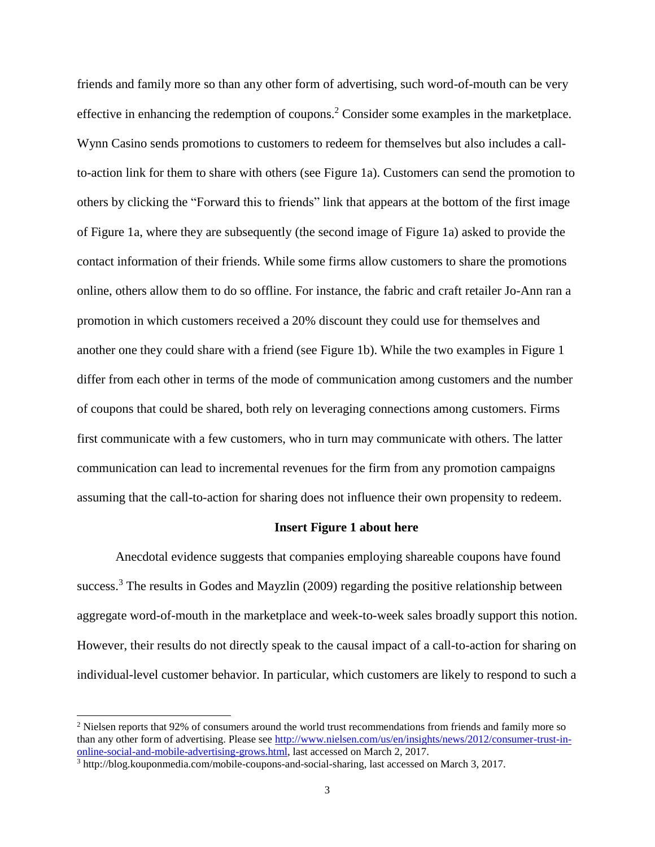friends and family more so than any other form of advertising, such word-of-mouth can be very effective in enhancing the redemption of coupons.<sup>2</sup> Consider some examples in the marketplace. Wynn Casino sends promotions to customers to redeem for themselves but also includes a callto-action link for them to share with others (see Figure 1a). Customers can send the promotion to others by clicking the "Forward this to friends" link that appears at the bottom of the first image of Figure 1a, where they are subsequently (the second image of Figure 1a) asked to provide the contact information of their friends. While some firms allow customers to share the promotions online, others allow them to do so offline. For instance, the fabric and craft retailer Jo-Ann ran a promotion in which customers received a 20% discount they could use for themselves and another one they could share with a friend (see Figure 1b). While the two examples in Figure 1 differ from each other in terms of the mode of communication among customers and the number of coupons that could be shared, both rely on leveraging connections among customers. Firms first communicate with a few customers, who in turn may communicate with others. The latter communication can lead to incremental revenues for the firm from any promotion campaigns assuming that the call-to-action for sharing does not influence their own propensity to redeem.

#### **Insert Figure 1 about here**

Anecdotal evidence suggests that companies employing shareable coupons have found success.<sup>3</sup> The results in Godes and Mayzlin (2009) regarding the positive relationship between aggregate word-of-mouth in the marketplace and week-to-week sales broadly support this notion. However, their results do not directly speak to the causal impact of a call-to-action for sharing on individual-level customer behavior. In particular, which customers are likely to respond to such a

 $\overline{a}$ 

<sup>&</sup>lt;sup>2</sup> Nielsen reports that 92% of consumers around the world trust recommendations from friends and family more so than any other form of advertising. Please see [http://www.nielsen.com/us/en/insights/news/2012/consumer-trust-in](http://www.nielsen.com/us/en/insights/news/2012/consumer-trust-in-online-social-and-mobile-advertising-grows.html)[online-social-and-mobile-advertising-grows.html,](http://www.nielsen.com/us/en/insights/news/2012/consumer-trust-in-online-social-and-mobile-advertising-grows.html) last accessed on March 2, 2017.

<sup>3</sup> http://blog.kouponmedia.com/mobile-coupons-and-social-sharing, last accessed on March 3, 2017.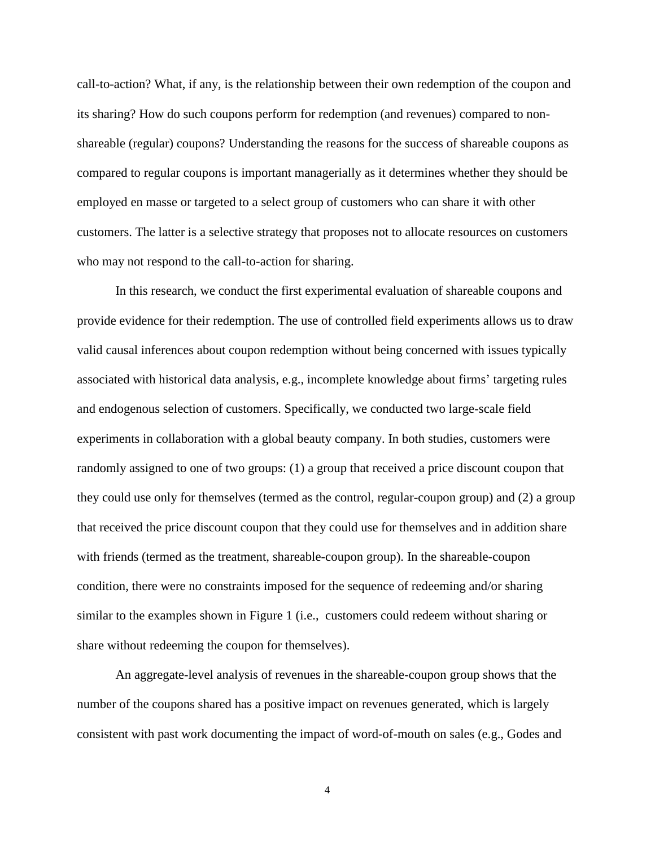call-to-action? What, if any, is the relationship between their own redemption of the coupon and its sharing? How do such coupons perform for redemption (and revenues) compared to nonshareable (regular) coupons? Understanding the reasons for the success of shareable coupons as compared to regular coupons is important managerially as it determines whether they should be employed en masse or targeted to a select group of customers who can share it with other customers. The latter is a selective strategy that proposes not to allocate resources on customers who may not respond to the call-to-action for sharing.

In this research, we conduct the first experimental evaluation of shareable coupons and provide evidence for their redemption. The use of controlled field experiments allows us to draw valid causal inferences about coupon redemption without being concerned with issues typically associated with historical data analysis, e.g., incomplete knowledge about firms' targeting rules and endogenous selection of customers. Specifically, we conducted two large-scale field experiments in collaboration with a global beauty company. In both studies, customers were randomly assigned to one of two groups: (1) a group that received a price discount coupon that they could use only for themselves (termed as the control, regular-coupon group) and (2) a group that received the price discount coupon that they could use for themselves and in addition share with friends (termed as the treatment, shareable-coupon group). In the shareable-coupon condition, there were no constraints imposed for the sequence of redeeming and/or sharing similar to the examples shown in Figure 1 (i.e., customers could redeem without sharing or share without redeeming the coupon for themselves).

An aggregate-level analysis of revenues in the shareable-coupon group shows that the number of the coupons shared has a positive impact on revenues generated, which is largely consistent with past work documenting the impact of word-of-mouth on sales (e.g., Godes and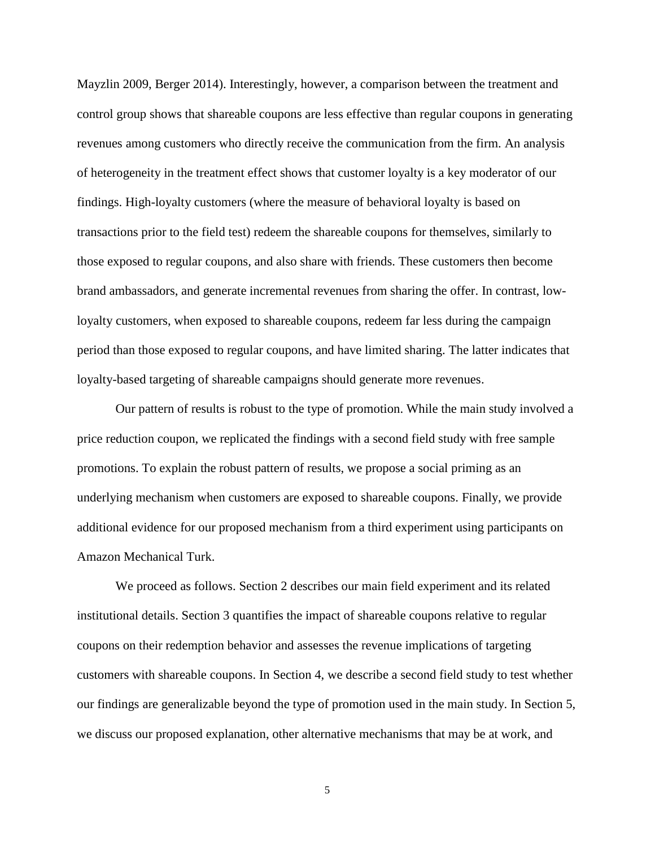Mayzlin 2009, Berger 2014). Interestingly, however, a comparison between the treatment and control group shows that shareable coupons are less effective than regular coupons in generating revenues among customers who directly receive the communication from the firm. An analysis of heterogeneity in the treatment effect shows that customer loyalty is a key moderator of our findings. High-loyalty customers (where the measure of behavioral loyalty is based on transactions prior to the field test) redeem the shareable coupons for themselves, similarly to those exposed to regular coupons, and also share with friends. These customers then become brand ambassadors, and generate incremental revenues from sharing the offer. In contrast, lowloyalty customers, when exposed to shareable coupons, redeem far less during the campaign period than those exposed to regular coupons, and have limited sharing. The latter indicates that loyalty-based targeting of shareable campaigns should generate more revenues.

Our pattern of results is robust to the type of promotion. While the main study involved a price reduction coupon, we replicated the findings with a second field study with free sample promotions. To explain the robust pattern of results, we propose a social priming as an underlying mechanism when customers are exposed to shareable coupons. Finally, we provide additional evidence for our proposed mechanism from a third experiment using participants on Amazon Mechanical Turk.

We proceed as follows. Section 2 describes our main field experiment and its related institutional details. Section 3 quantifies the impact of shareable coupons relative to regular coupons on their redemption behavior and assesses the revenue implications of targeting customers with shareable coupons. In Section 4, we describe a second field study to test whether our findings are generalizable beyond the type of promotion used in the main study. In Section 5, we discuss our proposed explanation, other alternative mechanisms that may be at work, and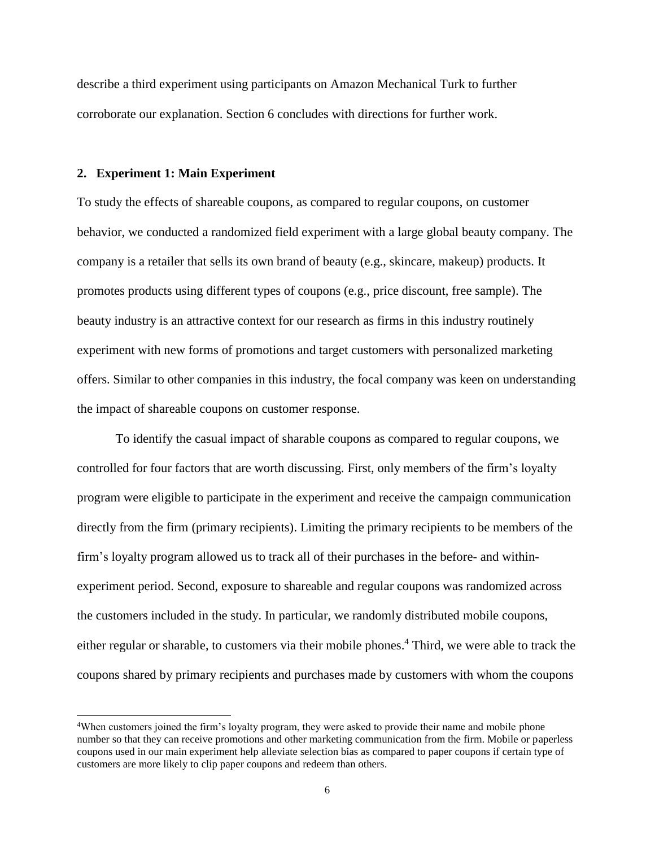describe a third experiment using participants on Amazon Mechanical Turk to further corroborate our explanation. Section 6 concludes with directions for further work.

#### **2. Experiment 1: Main Experiment**

 $\overline{a}$ 

To study the effects of shareable coupons, as compared to regular coupons, on customer behavior, we conducted a randomized field experiment with a large global beauty company. The company is a retailer that sells its own brand of beauty (e.g., skincare, makeup) products. It promotes products using different types of coupons (e.g., price discount, free sample). The beauty industry is an attractive context for our research as firms in this industry routinely experiment with new forms of promotions and target customers with personalized marketing offers. Similar to other companies in this industry, the focal company was keen on understanding the impact of shareable coupons on customer response.

To identify the casual impact of sharable coupons as compared to regular coupons, we controlled for four factors that are worth discussing. First, only members of the firm's loyalty program were eligible to participate in the experiment and receive the campaign communication directly from the firm (primary recipients). Limiting the primary recipients to be members of the firm's loyalty program allowed us to track all of their purchases in the before- and withinexperiment period. Second, exposure to shareable and regular coupons was randomized across the customers included in the study. In particular, we randomly distributed mobile coupons, either regular or sharable, to customers via their mobile phones. <sup>4</sup> Third, we were able to track the coupons shared by primary recipients and purchases made by customers with whom the coupons

<sup>4</sup>When customers joined the firm's loyalty program, they were asked to provide their name and mobile phone number so that they can receive promotions and other marketing communication from the firm. Mobile or paperless coupons used in our main experiment help alleviate selection bias as compared to paper coupons if certain type of customers are more likely to clip paper coupons and redeem than others.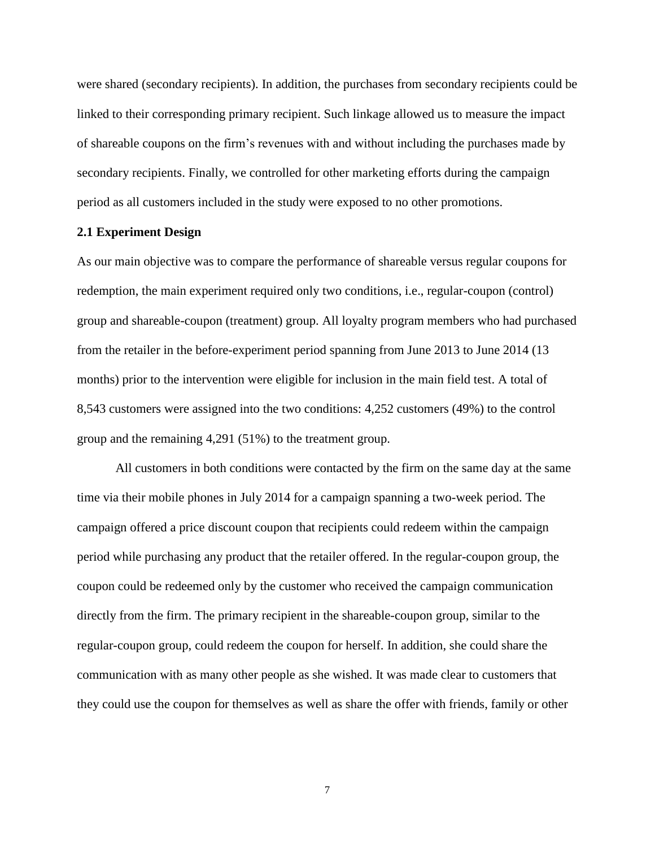were shared (secondary recipients). In addition, the purchases from secondary recipients could be linked to their corresponding primary recipient. Such linkage allowed us to measure the impact of shareable coupons on the firm's revenues with and without including the purchases made by secondary recipients. Finally, we controlled for other marketing efforts during the campaign period as all customers included in the study were exposed to no other promotions.

### **2.1 Experiment Design**

As our main objective was to compare the performance of shareable versus regular coupons for redemption, the main experiment required only two conditions, i.e., regular-coupon (control) group and shareable-coupon (treatment) group. All loyalty program members who had purchased from the retailer in the before-experiment period spanning from June 2013 to June 2014 (13 months) prior to the intervention were eligible for inclusion in the main field test. A total of 8,543 customers were assigned into the two conditions: 4,252 customers (49%) to the control group and the remaining 4,291 (51%) to the treatment group.

All customers in both conditions were contacted by the firm on the same day at the same time via their mobile phones in July 2014 for a campaign spanning a two-week period. The campaign offered a price discount coupon that recipients could redeem within the campaign period while purchasing any product that the retailer offered. In the regular-coupon group, the coupon could be redeemed only by the customer who received the campaign communication directly from the firm. The primary recipient in the shareable-coupon group, similar to the regular-coupon group, could redeem the coupon for herself. In addition, she could share the communication with as many other people as she wished. It was made clear to customers that they could use the coupon for themselves as well as share the offer with friends, family or other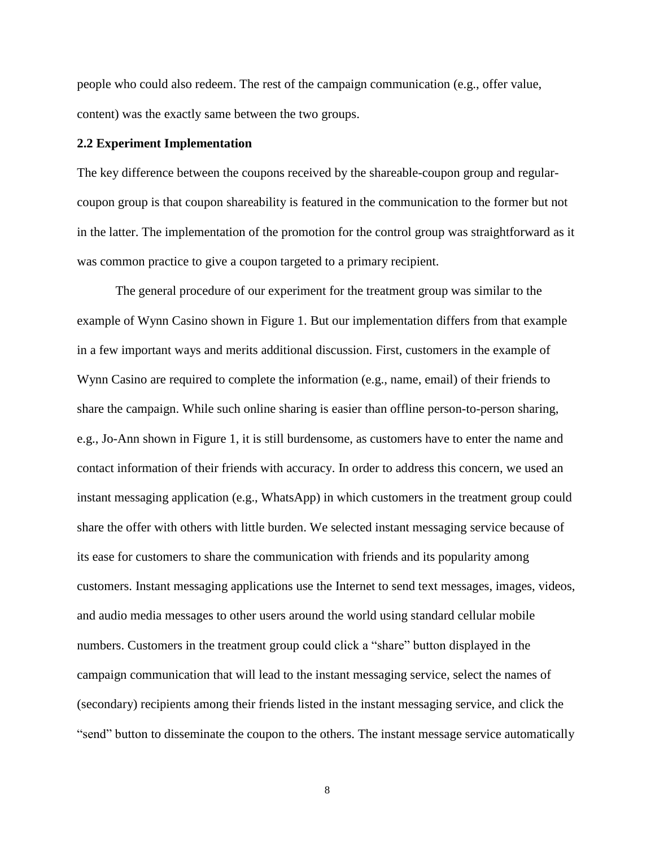people who could also redeem. The rest of the campaign communication (e.g., offer value, content) was the exactly same between the two groups.

### **2.2 Experiment Implementation**

The key difference between the coupons received by the shareable-coupon group and regularcoupon group is that coupon shareability is featured in the communication to the former but not in the latter. The implementation of the promotion for the control group was straightforward as it was common practice to give a coupon targeted to a primary recipient.

The general procedure of our experiment for the treatment group was similar to the example of Wynn Casino shown in Figure 1. But our implementation differs from that example in a few important ways and merits additional discussion. First, customers in the example of Wynn Casino are required to complete the information (e.g., name, email) of their friends to share the campaign. While such online sharing is easier than offline person-to-person sharing, e.g., Jo-Ann shown in Figure 1, it is still burdensome, as customers have to enter the name and contact information of their friends with accuracy. In order to address this concern, we used an instant messaging application (e.g., WhatsApp) in which customers in the treatment group could share the offer with others with little burden. We selected instant messaging service because of its ease for customers to share the communication with friends and its popularity among customers. Instant messaging applications use the Internet to send text messages, images, videos, and audio media messages to other users around the world using standard cellular mobile numbers. Customers in the treatment group could click a "share" button displayed in the campaign communication that will lead to the instant messaging service, select the names of (secondary) recipients among their friends listed in the instant messaging service, and click the "send" button to disseminate the coupon to the others. The instant message service automatically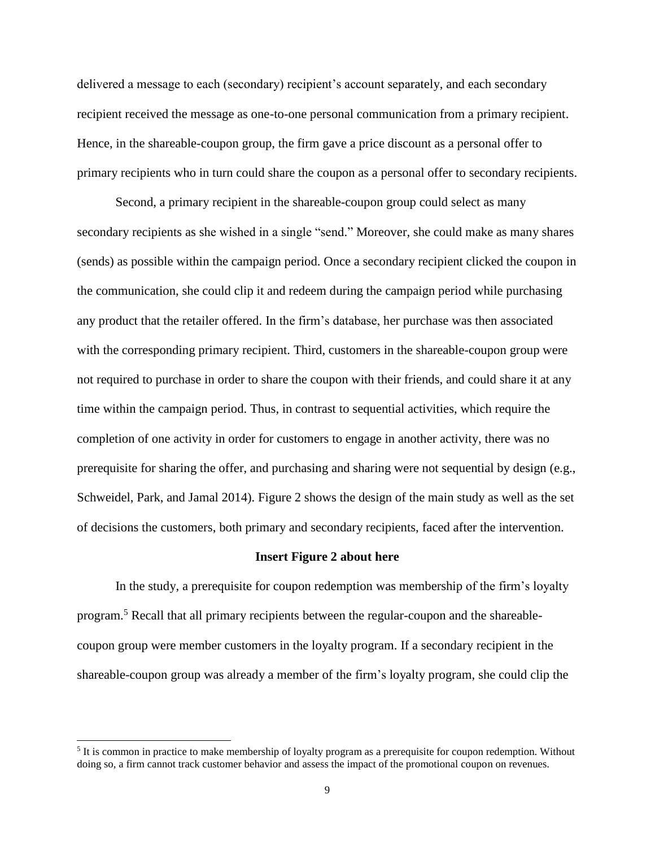delivered a message to each (secondary) recipient's account separately, and each secondary recipient received the message as one-to-one personal communication from a primary recipient. Hence, in the shareable-coupon group, the firm gave a price discount as a personal offer to primary recipients who in turn could share the coupon as a personal offer to secondary recipients.

Second, a primary recipient in the shareable-coupon group could select as many secondary recipients as she wished in a single "send." Moreover, she could make as many shares (sends) as possible within the campaign period. Once a secondary recipient clicked the coupon in the communication, she could clip it and redeem during the campaign period while purchasing any product that the retailer offered. In the firm's database, her purchase was then associated with the corresponding primary recipient. Third, customers in the shareable-coupon group were not required to purchase in order to share the coupon with their friends, and could share it at any time within the campaign period. Thus, in contrast to sequential activities, which require the completion of one activity in order for customers to engage in another activity, there was no prerequisite for sharing the offer, and purchasing and sharing were not sequential by design (e.g., Schweidel, Park, and Jamal 2014). Figure 2 shows the design of the main study as well as the set of decisions the customers, both primary and secondary recipients, faced after the intervention.

#### **Insert Figure 2 about here**

In the study, a prerequisite for coupon redemption was membership of the firm's loyalty program.<sup>5</sup> Recall that all primary recipients between the regular-coupon and the shareablecoupon group were member customers in the loyalty program. If a secondary recipient in the shareable-coupon group was already a member of the firm's loyalty program, she could clip the

 $\overline{a}$ 

<sup>&</sup>lt;sup>5</sup> It is common in practice to make membership of loyalty program as a prerequisite for coupon redemption. Without doing so, a firm cannot track customer behavior and assess the impact of the promotional coupon on revenues.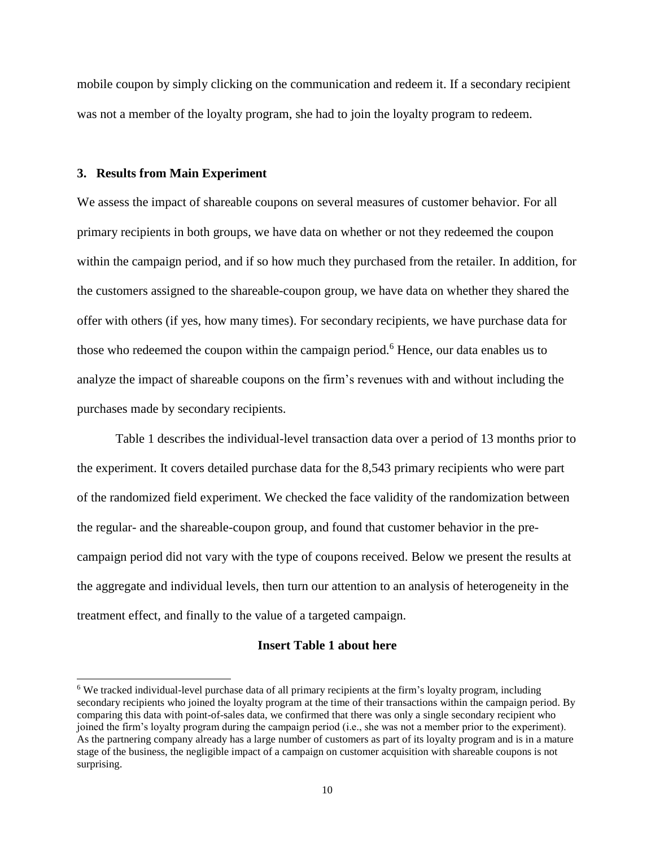mobile coupon by simply clicking on the communication and redeem it. If a secondary recipient was not a member of the loyalty program, she had to join the loyalty program to redeem.

#### **3. Results from Main Experiment**

 $\overline{a}$ 

We assess the impact of shareable coupons on several measures of customer behavior. For all primary recipients in both groups, we have data on whether or not they redeemed the coupon within the campaign period, and if so how much they purchased from the retailer. In addition, for the customers assigned to the shareable-coupon group, we have data on whether they shared the offer with others (if yes, how many times). For secondary recipients, we have purchase data for those who redeemed the coupon within the campaign period. <sup>6</sup> Hence, our data enables us to analyze the impact of shareable coupons on the firm's revenues with and without including the purchases made by secondary recipients.

Table 1 describes the individual-level transaction data over a period of 13 months prior to the experiment. It covers detailed purchase data for the 8,543 primary recipients who were part of the randomized field experiment. We checked the face validity of the randomization between the regular- and the shareable-coupon group, and found that customer behavior in the precampaign period did not vary with the type of coupons received. Below we present the results at the aggregate and individual levels, then turn our attention to an analysis of heterogeneity in the treatment effect, and finally to the value of a targeted campaign.

### **Insert Table 1 about here**

<sup>&</sup>lt;sup>6</sup> We tracked individual-level purchase data of all primary recipients at the firm's loyalty program, including secondary recipients who joined the loyalty program at the time of their transactions within the campaign period. By comparing this data with point-of-sales data, we confirmed that there was only a single secondary recipient who joined the firm's loyalty program during the campaign period (i.e., she was not a member prior to the experiment). As the partnering company already has a large number of customers as part of its loyalty program and is in a mature stage of the business, the negligible impact of a campaign on customer acquisition with shareable coupons is not surprising.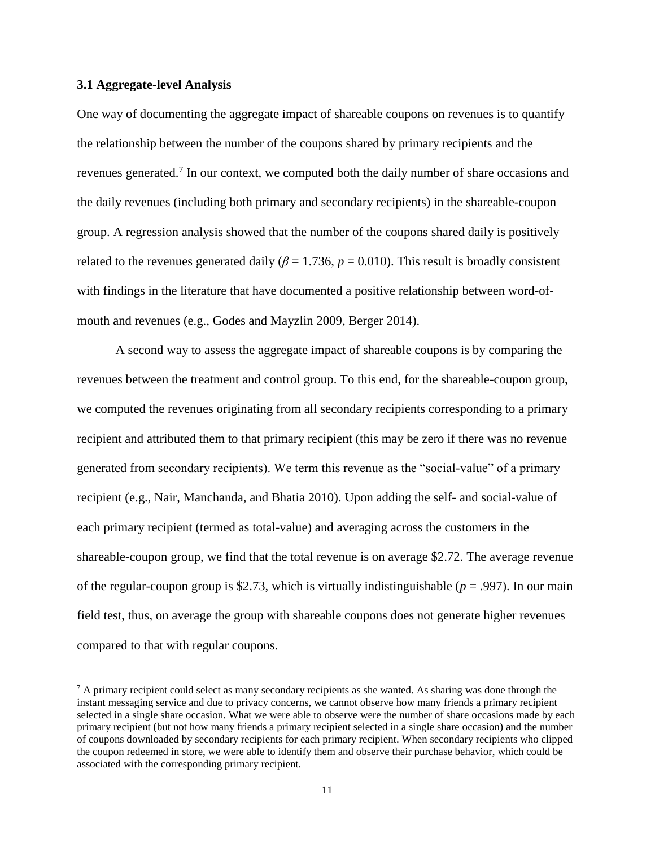#### **3.1 Aggregate-level Analysis**

 $\overline{a}$ 

One way of documenting the aggregate impact of shareable coupons on revenues is to quantify the relationship between the number of the coupons shared by primary recipients and the revenues generated.<sup>7</sup> In our context, we computed both the daily number of share occasions and the daily revenues (including both primary and secondary recipients) in the shareable-coupon group. A regression analysis showed that the number of the coupons shared daily is positively related to the revenues generated daily ( $\beta$  = 1.736,  $p$  = 0.010). This result is broadly consistent with findings in the literature that have documented a positive relationship between word-ofmouth and revenues (e.g., Godes and Mayzlin 2009, Berger 2014).

A second way to assess the aggregate impact of shareable coupons is by comparing the revenues between the treatment and control group. To this end, for the shareable-coupon group, we computed the revenues originating from all secondary recipients corresponding to a primary recipient and attributed them to that primary recipient (this may be zero if there was no revenue generated from secondary recipients). We term this revenue as the "social-value" of a primary recipient (e.g., Nair, Manchanda, and Bhatia 2010). Upon adding the self- and social-value of each primary recipient (termed as total-value) and averaging across the customers in the shareable-coupon group, we find that the total revenue is on average \$2.72. The average revenue of the regular-coupon group is \$2.73, which is virtually indistinguishable (*p* = .997). In our main field test, thus, on average the group with shareable coupons does not generate higher revenues compared to that with regular coupons.

 $<sup>7</sup>$  A primary recipient could select as many secondary recipients as she wanted. As sharing was done through the</sup> instant messaging service and due to privacy concerns, we cannot observe how many friends a primary recipient selected in a single share occasion. What we were able to observe were the number of share occasions made by each primary recipient (but not how many friends a primary recipient selected in a single share occasion) and the number of coupons downloaded by secondary recipients for each primary recipient. When secondary recipients who clipped the coupon redeemed in store, we were able to identify them and observe their purchase behavior, which could be associated with the corresponding primary recipient.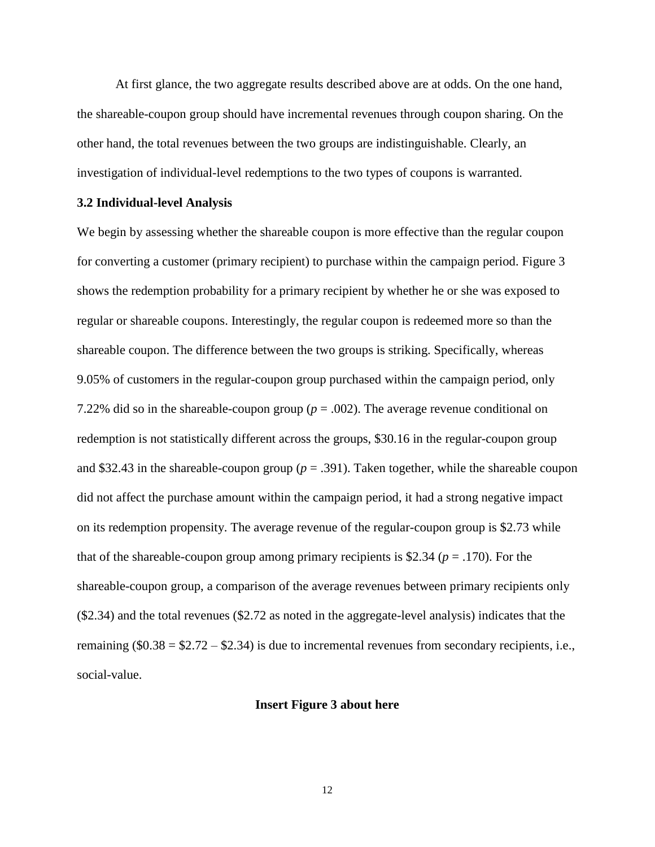At first glance, the two aggregate results described above are at odds. On the one hand, the shareable-coupon group should have incremental revenues through coupon sharing. On the other hand, the total revenues between the two groups are indistinguishable. Clearly, an investigation of individual-level redemptions to the two types of coupons is warranted.

#### **3.2 Individual-level Analysis**

We begin by assessing whether the shareable coupon is more effective than the regular coupon for converting a customer (primary recipient) to purchase within the campaign period. Figure 3 shows the redemption probability for a primary recipient by whether he or she was exposed to regular or shareable coupons. Interestingly, the regular coupon is redeemed more so than the shareable coupon. The difference between the two groups is striking. Specifically, whereas 9.05% of customers in the regular-coupon group purchased within the campaign period, only 7.22% did so in the shareable-coupon group ( $p = .002$ ). The average revenue conditional on redemption is not statistically different across the groups, \$30.16 in the regular-coupon group and \$32.43 in the shareable-coupon group ( $p = .391$ ). Taken together, while the shareable coupon did not affect the purchase amount within the campaign period, it had a strong negative impact on its redemption propensity. The average revenue of the regular-coupon group is \$2.73 while that of the shareable-coupon group among primary recipients is \$2.34 (*p* = .170). For the shareable-coupon group, a comparison of the average revenues between primary recipients only (\$2.34) and the total revenues (\$2.72 as noted in the aggregate-level analysis) indicates that the remaining  $(\$0.38 = \$2.72 - \$2.34)$  is due to incremental revenues from secondary recipients, i.e., social-value.

#### **Insert Figure 3 about here**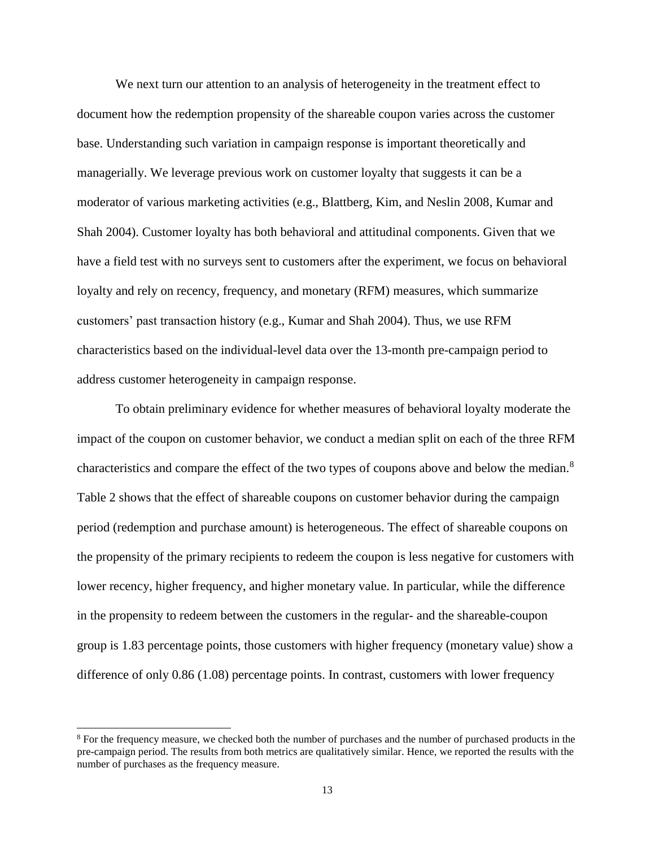We next turn our attention to an analysis of heterogeneity in the treatment effect to document how the redemption propensity of the shareable coupon varies across the customer base. Understanding such variation in campaign response is important theoretically and managerially. We leverage previous work on customer loyalty that suggests it can be a moderator of various marketing activities (e.g., Blattberg, Kim, and Neslin 2008, Kumar and Shah 2004). Customer loyalty has both behavioral and attitudinal components. Given that we have a field test with no surveys sent to customers after the experiment, we focus on behavioral loyalty and rely on recency, frequency, and monetary (RFM) measures, which summarize customers' past transaction history (e.g., Kumar and Shah 2004). Thus, we use RFM characteristics based on the individual-level data over the 13-month pre-campaign period to address customer heterogeneity in campaign response.

To obtain preliminary evidence for whether measures of behavioral loyalty moderate the impact of the coupon on customer behavior, we conduct a median split on each of the three RFM characteristics and compare the effect of the two types of coupons above and below the median.<sup>8</sup> Table 2 shows that the effect of shareable coupons on customer behavior during the campaign period (redemption and purchase amount) is heterogeneous. The effect of shareable coupons on the propensity of the primary recipients to redeem the coupon is less negative for customers with lower recency, higher frequency, and higher monetary value. In particular, while the difference in the propensity to redeem between the customers in the regular- and the shareable-coupon group is 1.83 percentage points, those customers with higher frequency (monetary value) show a difference of only 0.86 (1.08) percentage points. In contrast, customers with lower frequency

l

<sup>&</sup>lt;sup>8</sup> For the frequency measure, we checked both the number of purchases and the number of purchased products in the pre-campaign period. The results from both metrics are qualitatively similar. Hence, we reported the results with the number of purchases as the frequency measure.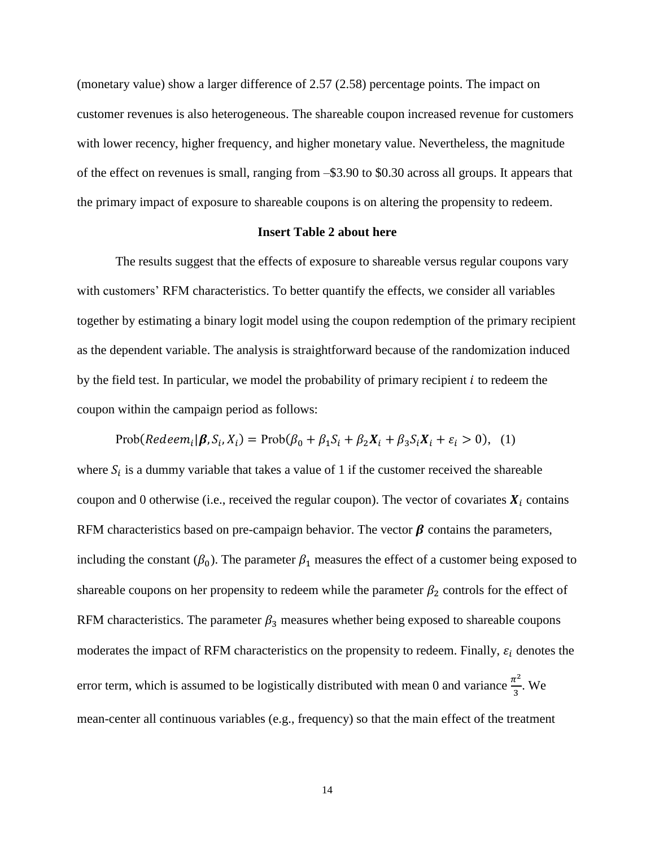(monetary value) show a larger difference of 2.57 (2.58) percentage points. The impact on customer revenues is also heterogeneous. The shareable coupon increased revenue for customers with lower recency, higher frequency, and higher monetary value. Nevertheless, the magnitude of the effect on revenues is small, ranging from –\$3.90 to \$0.30 across all groups. It appears that the primary impact of exposure to shareable coupons is on altering the propensity to redeem.

#### **Insert Table 2 about here**

The results suggest that the effects of exposure to shareable versus regular coupons vary with customers' RFM characteristics. To better quantify the effects, we consider all variables together by estimating a binary logit model using the coupon redemption of the primary recipient as the dependent variable. The analysis is straightforward because of the randomization induced by the field test. In particular, we model the probability of primary recipient  $i$  to redeem the coupon within the campaign period as follows:

$$
\text{Prob}(\text{Redeem}_i|\boldsymbol{\beta}, S_i, X_i) = \text{Prob}(\beta_0 + \beta_1 S_i + \beta_2 X_i + \beta_3 S_i X_i + \varepsilon_i > 0), \tag{1}
$$

where  $S_i$  is a dummy variable that takes a value of 1 if the customer received the shareable coupon and 0 otherwise (i.e., received the regular coupon). The vector of covariates  $X_i$  contains RFM characteristics based on pre-campaign behavior. The vector  $\beta$  contains the parameters, including the constant  $(\beta_0)$ . The parameter  $\beta_1$  measures the effect of a customer being exposed to shareable coupons on her propensity to redeem while the parameter  $\beta_2$  controls for the effect of RFM characteristics. The parameter  $\beta_3$  measures whether being exposed to shareable coupons moderates the impact of RFM characteristics on the propensity to redeem. Finally,  $\varepsilon_i$  denotes the error term, which is assumed to be logistically distributed with mean 0 and variance  $\frac{\pi^2}{2}$  $\frac{1}{3}$ . We mean-center all continuous variables (e.g., frequency) so that the main effect of the treatment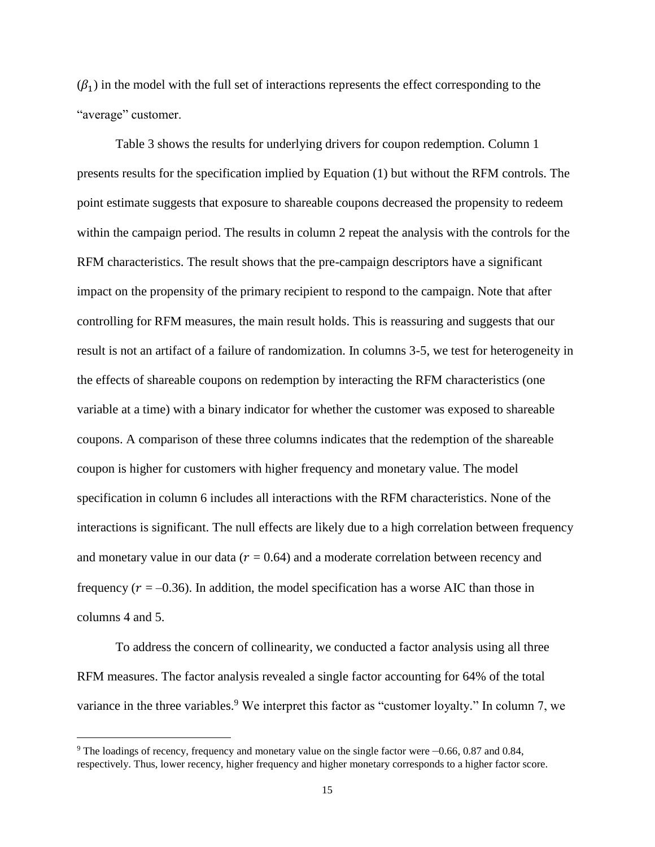$(\beta_1)$  in the model with the full set of interactions represents the effect corresponding to the "average" customer.

Table 3 shows the results for underlying drivers for coupon redemption. Column 1 presents results for the specification implied by Equation (1) but without the RFM controls. The point estimate suggests that exposure to shareable coupons decreased the propensity to redeem within the campaign period. The results in column 2 repeat the analysis with the controls for the RFM characteristics. The result shows that the pre-campaign descriptors have a significant impact on the propensity of the primary recipient to respond to the campaign. Note that after controlling for RFM measures, the main result holds. This is reassuring and suggests that our result is not an artifact of a failure of randomization. In columns 3-5, we test for heterogeneity in the effects of shareable coupons on redemption by interacting the RFM characteristics (one variable at a time) with a binary indicator for whether the customer was exposed to shareable coupons. A comparison of these three columns indicates that the redemption of the shareable coupon is higher for customers with higher frequency and monetary value. The model specification in column 6 includes all interactions with the RFM characteristics. None of the interactions is significant. The null effects are likely due to a high correlation between frequency and monetary value in our data ( $r = 0.64$ ) and a moderate correlation between recency and frequency ( $r = -0.36$ ). In addition, the model specification has a worse AIC than those in columns 4 and 5.

To address the concern of collinearity, we conducted a factor analysis using all three RFM measures. The factor analysis revealed a single factor accounting for 64% of the total variance in the three variables.<sup>9</sup> We interpret this factor as "customer loyalty." In column 7, we

 $\overline{a}$ 

<sup>9</sup> The loadings of recency, frequency and monetary value on the single factor were –0.66, 0.87 and 0.84, respectively. Thus, lower recency, higher frequency and higher monetary corresponds to a higher factor score.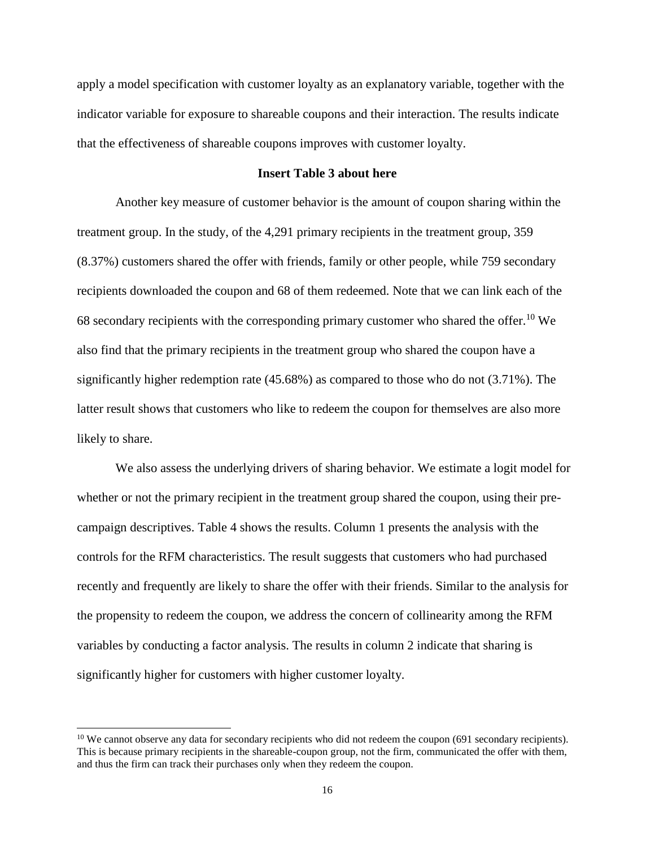apply a model specification with customer loyalty as an explanatory variable, together with the indicator variable for exposure to shareable coupons and their interaction. The results indicate that the effectiveness of shareable coupons improves with customer loyalty.

#### **Insert Table 3 about here**

Another key measure of customer behavior is the amount of coupon sharing within the treatment group. In the study, of the 4,291 primary recipients in the treatment group, 359 (8.37%) customers shared the offer with friends, family or other people, while 759 secondary recipients downloaded the coupon and 68 of them redeemed. Note that we can link each of the 68 secondary recipients with the corresponding primary customer who shared the offer.<sup>10</sup> We also find that the primary recipients in the treatment group who shared the coupon have a significantly higher redemption rate (45.68%) as compared to those who do not (3.71%). The latter result shows that customers who like to redeem the coupon for themselves are also more likely to share.

We also assess the underlying drivers of sharing behavior. We estimate a logit model for whether or not the primary recipient in the treatment group shared the coupon, using their precampaign descriptives. Table 4 shows the results. Column 1 presents the analysis with the controls for the RFM characteristics. The result suggests that customers who had purchased recently and frequently are likely to share the offer with their friends. Similar to the analysis for the propensity to redeem the coupon, we address the concern of collinearity among the RFM variables by conducting a factor analysis. The results in column 2 indicate that sharing is significantly higher for customers with higher customer loyalty.

l

 $10$  We cannot observe any data for secondary recipients who did not redeem the coupon (691 secondary recipients). This is because primary recipients in the shareable-coupon group, not the firm, communicated the offer with them, and thus the firm can track their purchases only when they redeem the coupon.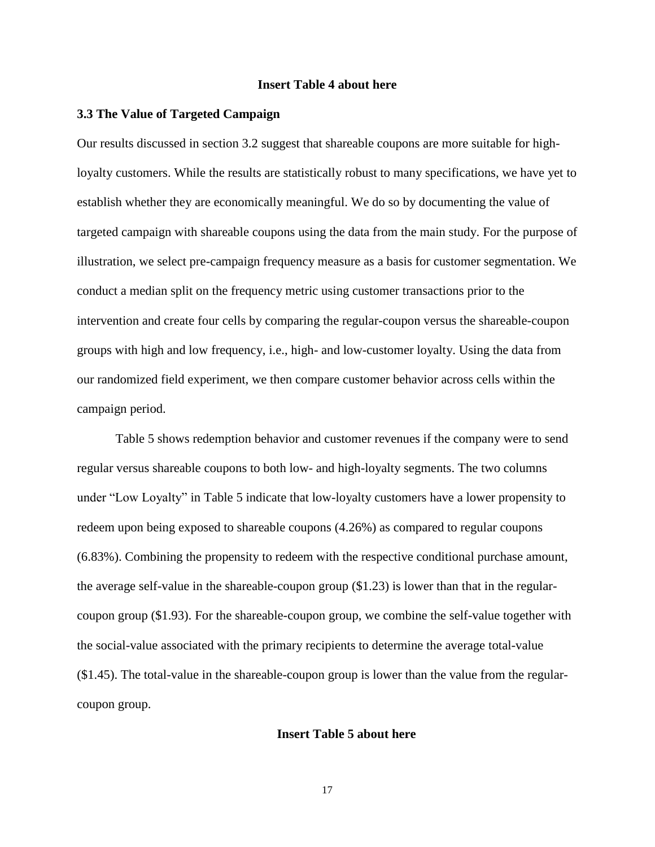#### **Insert Table 4 about here**

#### **3.3 The Value of Targeted Campaign**

Our results discussed in section 3.2 suggest that shareable coupons are more suitable for highloyalty customers. While the results are statistically robust to many specifications, we have yet to establish whether they are economically meaningful. We do so by documenting the value of targeted campaign with shareable coupons using the data from the main study. For the purpose of illustration, we select pre-campaign frequency measure as a basis for customer segmentation. We conduct a median split on the frequency metric using customer transactions prior to the intervention and create four cells by comparing the regular-coupon versus the shareable-coupon groups with high and low frequency, i.e., high- and low-customer loyalty. Using the data from our randomized field experiment, we then compare customer behavior across cells within the campaign period.

Table 5 shows redemption behavior and customer revenues if the company were to send regular versus shareable coupons to both low- and high-loyalty segments. The two columns under "Low Loyalty" in Table 5 indicate that low-loyalty customers have a lower propensity to redeem upon being exposed to shareable coupons (4.26%) as compared to regular coupons (6.83%). Combining the propensity to redeem with the respective conditional purchase amount, the average self-value in the shareable-coupon group (\$1.23) is lower than that in the regularcoupon group (\$1.93). For the shareable-coupon group, we combine the self-value together with the social-value associated with the primary recipients to determine the average total-value (\$1.45). The total-value in the shareable-coupon group is lower than the value from the regularcoupon group.

#### **Insert Table 5 about here**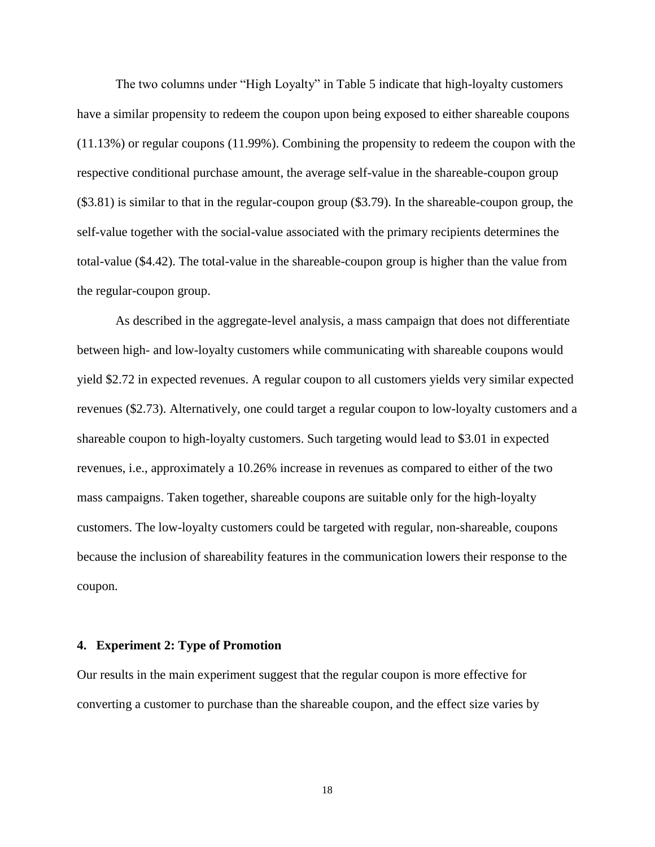The two columns under "High Loyalty" in Table 5 indicate that high-loyalty customers have a similar propensity to redeem the coupon upon being exposed to either shareable coupons (11.13%) or regular coupons (11.99%). Combining the propensity to redeem the coupon with the respective conditional purchase amount, the average self-value in the shareable-coupon group (\$3.81) is similar to that in the regular-coupon group (\$3.79). In the shareable-coupon group, the self-value together with the social-value associated with the primary recipients determines the total-value (\$4.42). The total-value in the shareable-coupon group is higher than the value from the regular-coupon group.

As described in the aggregate-level analysis, a mass campaign that does not differentiate between high- and low-loyalty customers while communicating with shareable coupons would yield \$2.72 in expected revenues. A regular coupon to all customers yields very similar expected revenues (\$2.73). Alternatively, one could target a regular coupon to low-loyalty customers and a shareable coupon to high-loyalty customers. Such targeting would lead to \$3.01 in expected revenues, i.e., approximately a 10.26% increase in revenues as compared to either of the two mass campaigns. Taken together, shareable coupons are suitable only for the high-loyalty customers. The low-loyalty customers could be targeted with regular, non-shareable, coupons because the inclusion of shareability features in the communication lowers their response to the coupon.

#### **4. Experiment 2: Type of Promotion**

Our results in the main experiment suggest that the regular coupon is more effective for converting a customer to purchase than the shareable coupon, and the effect size varies by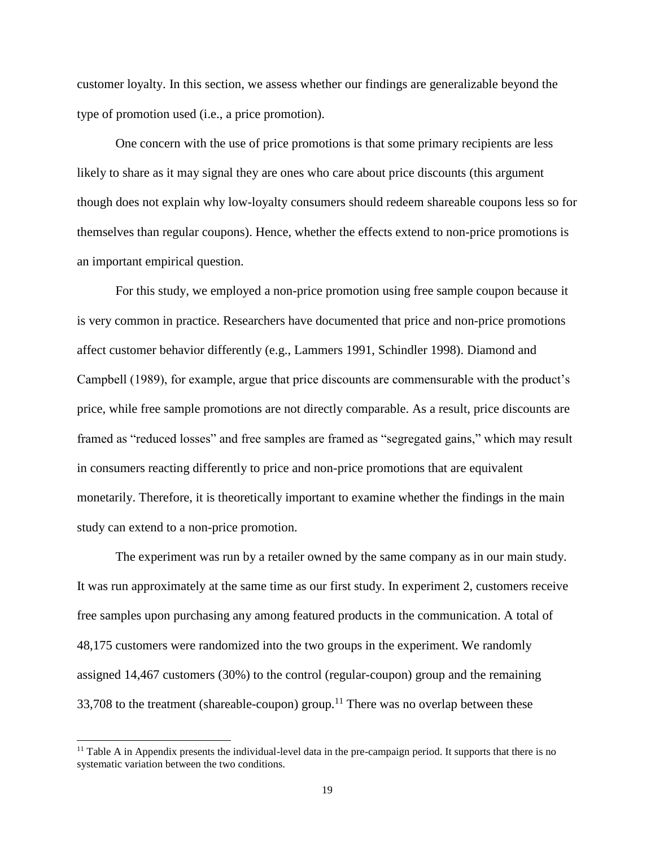customer loyalty. In this section, we assess whether our findings are generalizable beyond the type of promotion used (i.e., a price promotion).

One concern with the use of price promotions is that some primary recipients are less likely to share as it may signal they are ones who care about price discounts (this argument though does not explain why low-loyalty consumers should redeem shareable coupons less so for themselves than regular coupons). Hence, whether the effects extend to non-price promotions is an important empirical question.

For this study, we employed a non-price promotion using free sample coupon because it is very common in practice. Researchers have documented that price and non-price promotions affect customer behavior differently (e.g., Lammers 1991, Schindler 1998). Diamond and Campbell (1989), for example, argue that price discounts are commensurable with the product's price, while free sample promotions are not directly comparable. As a result, price discounts are framed as "reduced losses" and free samples are framed as "segregated gains," which may result in consumers reacting differently to price and non-price promotions that are equivalent monetarily. Therefore, it is theoretically important to examine whether the findings in the main study can extend to a non-price promotion.

The experiment was run by a retailer owned by the same company as in our main study. It was run approximately at the same time as our first study. In experiment 2, customers receive free samples upon purchasing any among featured products in the communication. A total of 48,175 customers were randomized into the two groups in the experiment. We randomly assigned 14,467 customers (30%) to the control (regular-coupon) group and the remaining 33,708 to the treatment (shareable-coupon) group.<sup>11</sup> There was no overlap between these

 $\overline{a}$ 

 $11$  Table A in Appendix presents the individual-level data in the pre-campaign period. It supports that there is no systematic variation between the two conditions.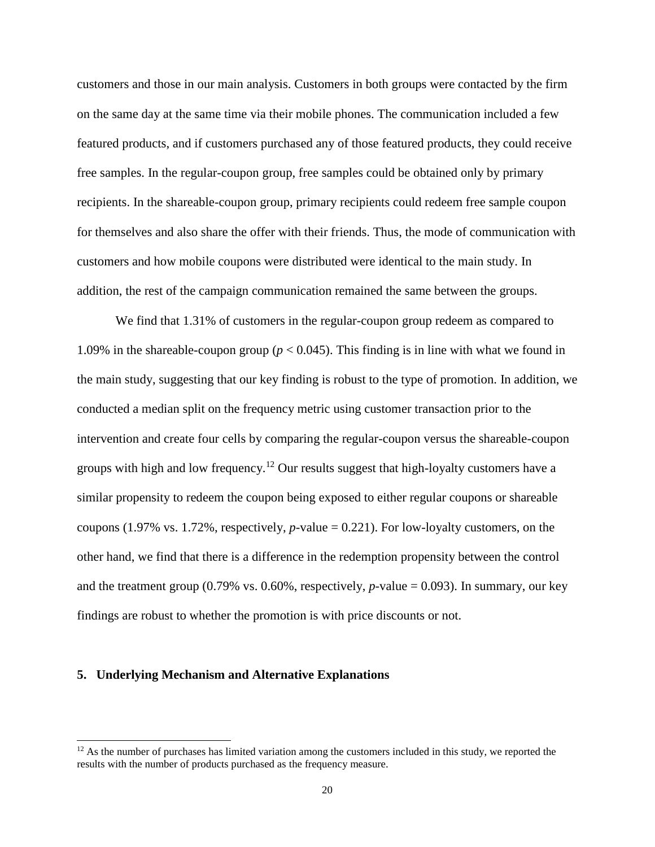customers and those in our main analysis. Customers in both groups were contacted by the firm on the same day at the same time via their mobile phones. The communication included a few featured products, and if customers purchased any of those featured products, they could receive free samples. In the regular-coupon group, free samples could be obtained only by primary recipients. In the shareable-coupon group, primary recipients could redeem free sample coupon for themselves and also share the offer with their friends. Thus, the mode of communication with customers and how mobile coupons were distributed were identical to the main study. In addition, the rest of the campaign communication remained the same between the groups.

We find that  $1.31\%$  of customers in the regular-coupon group redeem as compared to 1.09% in the shareable-coupon group ( $p < 0.045$ ). This finding is in line with what we found in the main study, suggesting that our key finding is robust to the type of promotion. In addition, we conducted a median split on the frequency metric using customer transaction prior to the intervention and create four cells by comparing the regular-coupon versus the shareable-coupon groups with high and low frequency.<sup>12</sup> Our results suggest that high-loyalty customers have a similar propensity to redeem the coupon being exposed to either regular coupons or shareable coupons (1.97% vs. 1.72%, respectively, *p*-value = 0.221). For low-loyalty customers, on the other hand, we find that there is a difference in the redemption propensity between the control and the treatment group (0.79% vs. 0.60%, respectively,  $p$ -value = 0.093). In summary, our key findings are robust to whether the promotion is with price discounts or not.

#### **5. Underlying Mechanism and Alternative Explanations**

 $\overline{a}$ 

 $12$  As the number of purchases has limited variation among the customers included in this study, we reported the results with the number of products purchased as the frequency measure.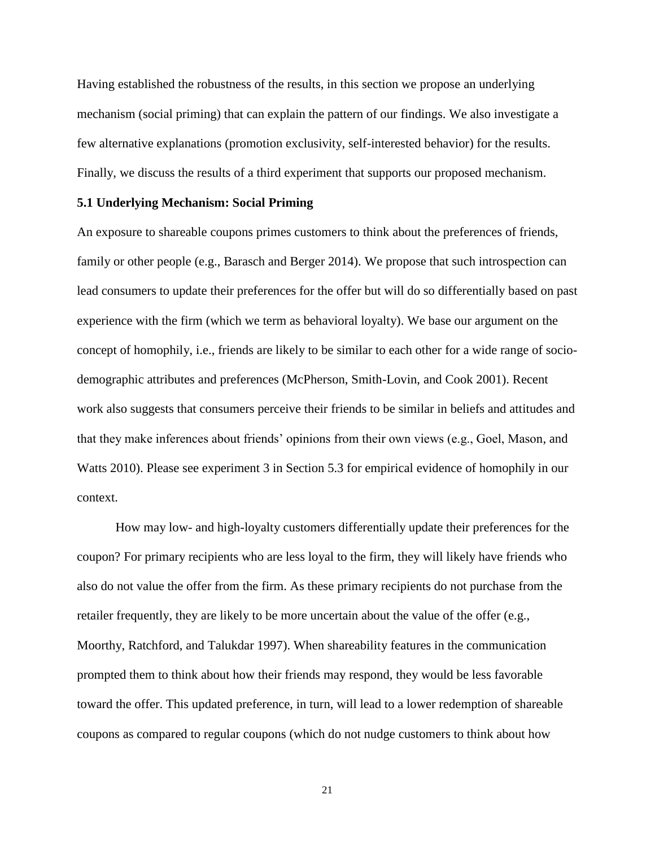Having established the robustness of the results, in this section we propose an underlying mechanism (social priming) that can explain the pattern of our findings. We also investigate a few alternative explanations (promotion exclusivity, self-interested behavior) for the results. Finally, we discuss the results of a third experiment that supports our proposed mechanism.

### **5.1 Underlying Mechanism: Social Priming**

An exposure to shareable coupons primes customers to think about the preferences of friends, family or other people (e.g., Barasch and Berger 2014). We propose that such introspection can lead consumers to update their preferences for the offer but will do so differentially based on past experience with the firm (which we term as behavioral loyalty). We base our argument on the concept of homophily, i.e., friends are likely to be similar to each other for a wide range of sociodemographic attributes and preferences (McPherson, Smith-Lovin, and Cook 2001). Recent work also suggests that consumers perceive their friends to be similar in beliefs and attitudes and that they make inferences about friends' opinions from their own views (e.g., Goel, Mason, and Watts 2010). Please see experiment 3 in Section 5.3 for empirical evidence of homophily in our context.

How may low- and high-loyalty customers differentially update their preferences for the coupon? For primary recipients who are less loyal to the firm, they will likely have friends who also do not value the offer from the firm. As these primary recipients do not purchase from the retailer frequently, they are likely to be more uncertain about the value of the offer (e.g., Moorthy, Ratchford, and Talukdar 1997). When shareability features in the communication prompted them to think about how their friends may respond, they would be less favorable toward the offer. This updated preference, in turn, will lead to a lower redemption of shareable coupons as compared to regular coupons (which do not nudge customers to think about how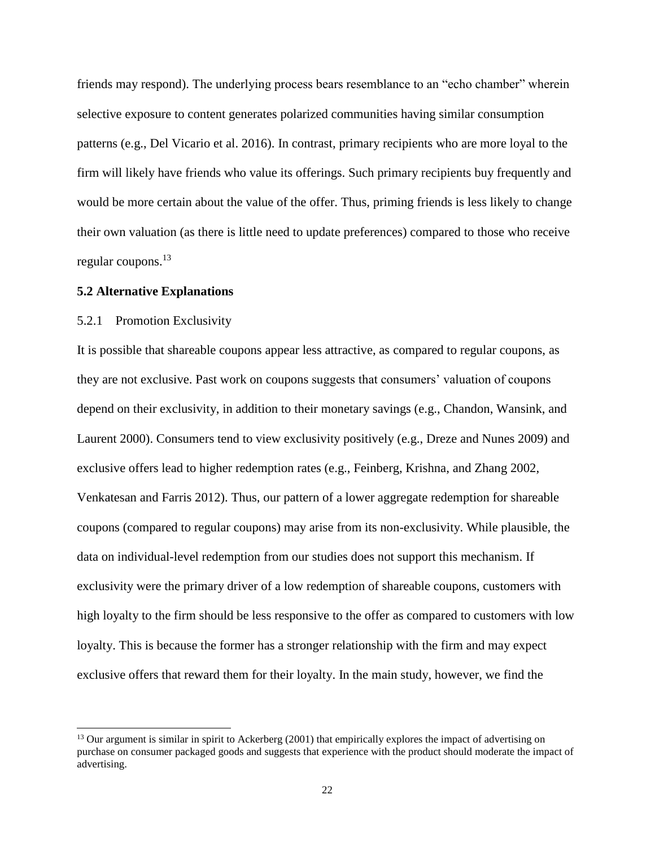friends may respond). The underlying process bears resemblance to an "echo chamber" wherein selective exposure to content generates polarized communities having similar consumption patterns (e.g., Del Vicario et al. 2016). In contrast, primary recipients who are more loyal to the firm will likely have friends who value its offerings. Such primary recipients buy frequently and would be more certain about the value of the offer. Thus, priming friends is less likely to change their own valuation (as there is little need to update preferences) compared to those who receive regular coupons. 13

#### **5.2 Alternative Explanations**

#### 5.2.1 Promotion Exclusivity

l

It is possible that shareable coupons appear less attractive, as compared to regular coupons, as they are not exclusive. Past work on coupons suggests that consumers' valuation of coupons depend on their exclusivity, in addition to their monetary savings (e.g., Chandon, Wansink, and Laurent 2000). Consumers tend to view exclusivity positively (e.g., Dreze and Nunes 2009) and exclusive offers lead to higher redemption rates (e.g., Feinberg, Krishna, and Zhang 2002, Venkatesan and Farris 2012). Thus, our pattern of a lower aggregate redemption for shareable coupons (compared to regular coupons) may arise from its non-exclusivity. While plausible, the data on individual-level redemption from our studies does not support this mechanism. If exclusivity were the primary driver of a low redemption of shareable coupons, customers with high loyalty to the firm should be less responsive to the offer as compared to customers with low loyalty. This is because the former has a stronger relationship with the firm and may expect exclusive offers that reward them for their loyalty. In the main study, however, we find the

 $<sup>13</sup>$  Our argument is similar in spirit to Ackerberg (2001) that empirically explores the impact of advertising on</sup> purchase on consumer packaged goods and suggests that experience with the product should moderate the impact of advertising.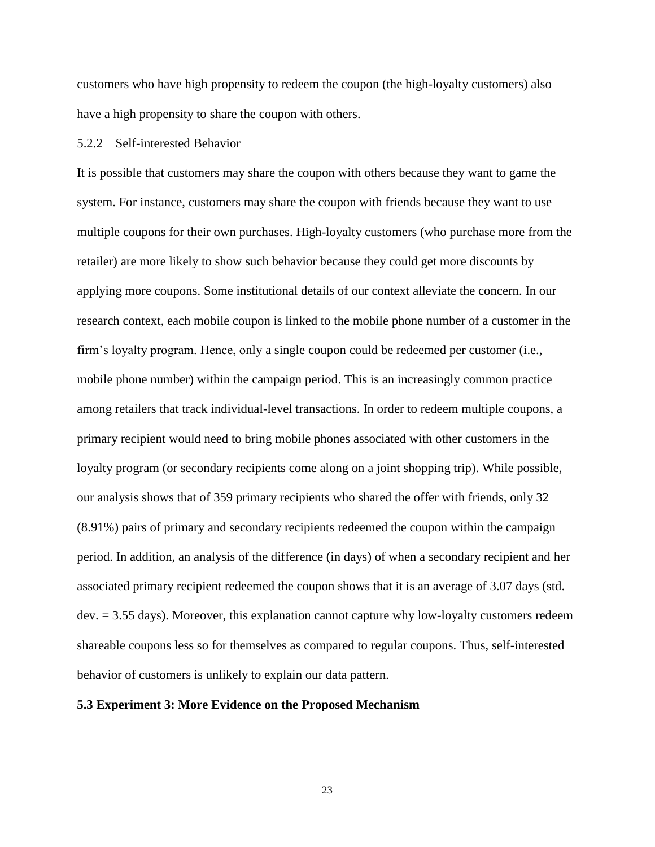customers who have high propensity to redeem the coupon (the high-loyalty customers) also have a high propensity to share the coupon with others.

### 5.2.2 Self-interested Behavior

It is possible that customers may share the coupon with others because they want to game the system. For instance, customers may share the coupon with friends because they want to use multiple coupons for their own purchases. High-loyalty customers (who purchase more from the retailer) are more likely to show such behavior because they could get more discounts by applying more coupons. Some institutional details of our context alleviate the concern. In our research context, each mobile coupon is linked to the mobile phone number of a customer in the firm's loyalty program. Hence, only a single coupon could be redeemed per customer (i.e., mobile phone number) within the campaign period. This is an increasingly common practice among retailers that track individual-level transactions. In order to redeem multiple coupons, a primary recipient would need to bring mobile phones associated with other customers in the loyalty program (or secondary recipients come along on a joint shopping trip). While possible, our analysis shows that of 359 primary recipients who shared the offer with friends, only 32 (8.91%) pairs of primary and secondary recipients redeemed the coupon within the campaign period. In addition, an analysis of the difference (in days) of when a secondary recipient and her associated primary recipient redeemed the coupon shows that it is an average of 3.07 days (std. dev. = 3.55 days). Moreover, this explanation cannot capture why low-loyalty customers redeem shareable coupons less so for themselves as compared to regular coupons. Thus, self-interested behavior of customers is unlikely to explain our data pattern.

#### **5.3 Experiment 3: More Evidence on the Proposed Mechanism**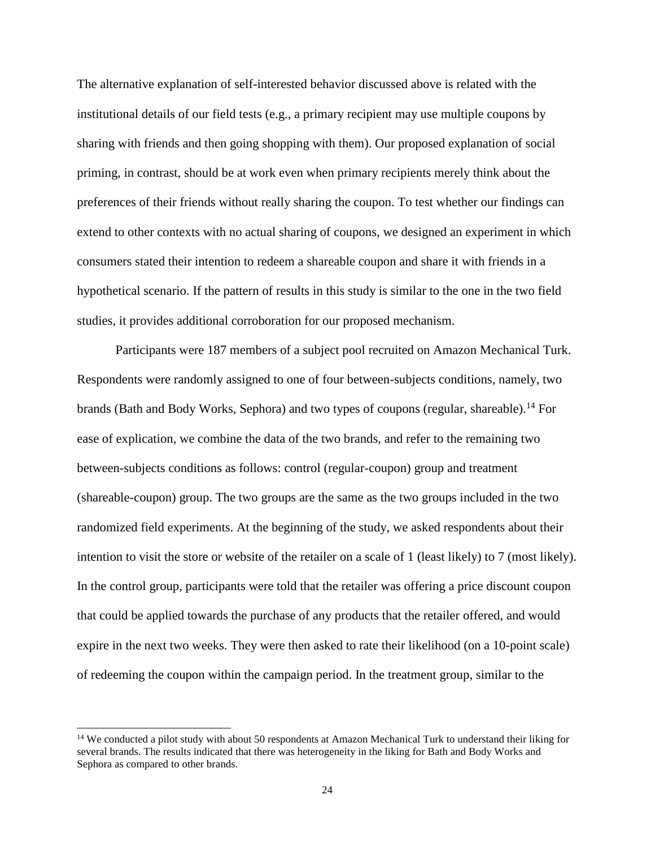The alternative explanation of self-interested behavior discussed above is related with the institutional details of our field tests (e.g., a primary recipient may use multiple coupons by sharing with friends and then going shopping with them). Our proposed explanation of social priming, in contrast, should be at work even when primary recipients merely think about the preferences of their friends without really sharing the coupon. To test whether our findings can extend to other contexts with no actual sharing of coupons, we designed an experiment in which consumers stated their intention to redeem a shareable coupon and share it with friends in a hypothetical scenario. If the pattern of results in this study is similar to the one in the two field studies, it provides additional corroboration for our proposed mechanism.

Participants were 187 members of a subject pool recruited on Amazon Mechanical Turk. Respondents were randomly assigned to one of four between-subjects conditions, namely, two brands (Bath and Body Works, Sephora) and two types of coupons (regular, shareable).<sup>14</sup> For ease of explication, we combine the data of the two brands, and refer to the remaining two between-subjects conditions as follows: control (regular-coupon) group and treatment (shareable-coupon) group. The two groups are the same as the two groups included in the two randomized field experiments. At the beginning of the study, we asked respondents about their intention to visit the store or website of the retailer on a scale of 1 (least likely) to 7 (most likely). In the control group, participants were told that the retailer was offering a price discount coupon that could be applied towards the purchase of any products that the retailer offered, and would expire in the next two weeks. They were then asked to rate their likelihood (on a 10-point scale) of redeeming the coupon within the campaign period. In the treatment group, similar to the

l

<sup>&</sup>lt;sup>14</sup> We conducted a pilot study with about 50 respondents at Amazon Mechanical Turk to understand their liking for several brands. The results indicated that there was heterogeneity in the liking for Bath and Body Works and Sephora as compared to other brands.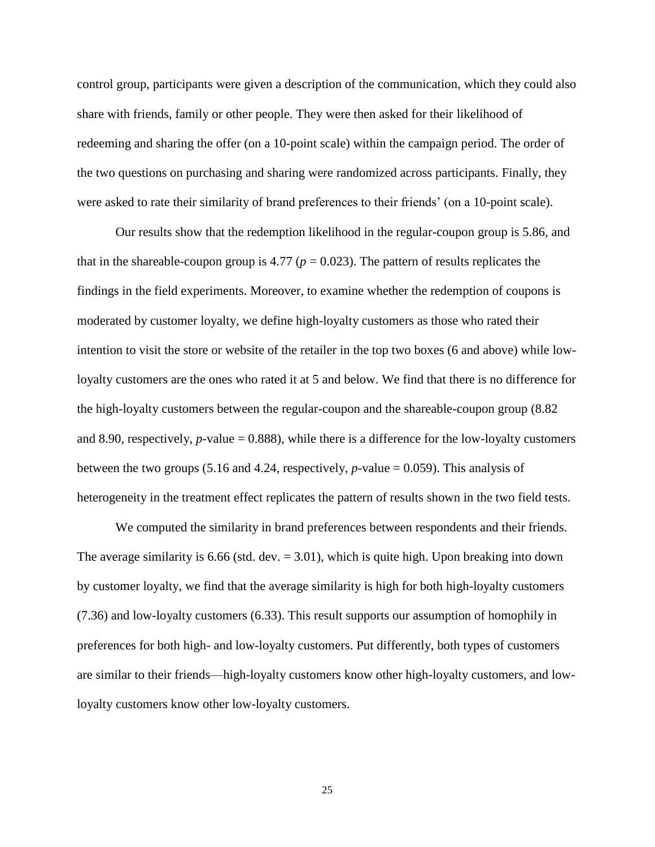control group, participants were given a description of the communication, which they could also share with friends, family or other people. They were then asked for their likelihood of redeeming and sharing the offer (on a 10-point scale) within the campaign period. The order of the two questions on purchasing and sharing were randomized across participants. Finally, they were asked to rate their similarity of brand preferences to their friends' (on a 10-point scale).

Our results show that the redemption likelihood in the regular-coupon group is 5.86, and that in the shareable-coupon group is 4.77 ( $p = 0.023$ ). The pattern of results replicates the findings in the field experiments. Moreover, to examine whether the redemption of coupons is moderated by customer loyalty, we define high-loyalty customers as those who rated their intention to visit the store or website of the retailer in the top two boxes (6 and above) while lowloyalty customers are the ones who rated it at 5 and below. We find that there is no difference for the high-loyalty customers between the regular-coupon and the shareable-coupon group (8.82 and 8.90, respectively,  $p$ -value = 0.888), while there is a difference for the low-loyalty customers between the two groups (5.16 and 4.24, respectively,  $p$ -value = 0.059). This analysis of heterogeneity in the treatment effect replicates the pattern of results shown in the two field tests.

We computed the similarity in brand preferences between respondents and their friends. The average similarity is 6.66 (std. dev.  $= 3.01$ ), which is quite high. Upon breaking into down by customer loyalty, we find that the average similarity is high for both high-loyalty customers (7.36) and low-loyalty customers (6.33). This result supports our assumption of homophily in preferences for both high- and low-loyalty customers. Put differently, both types of customers are similar to their friends––high-loyalty customers know other high-loyalty customers, and lowloyalty customers know other low-loyalty customers.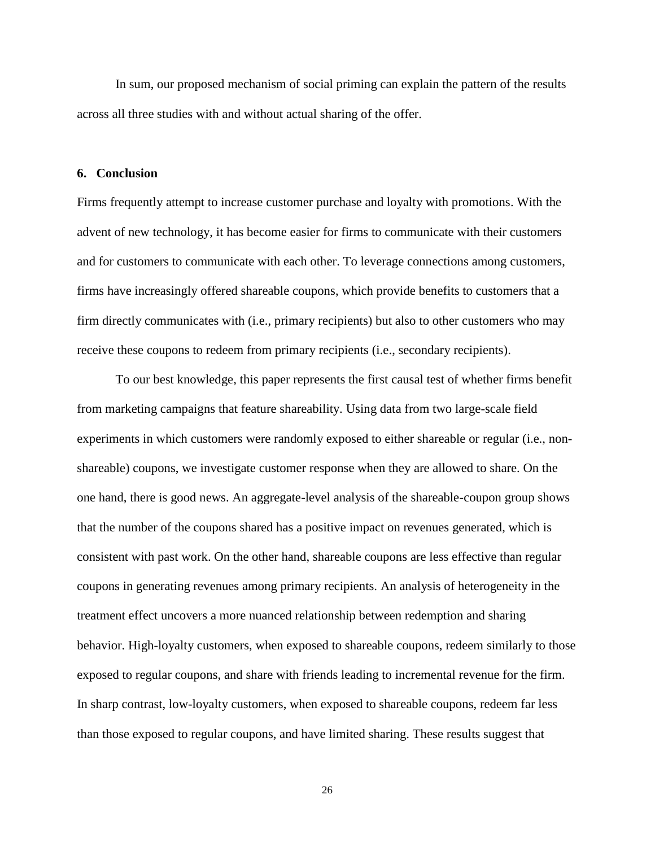In sum, our proposed mechanism of social priming can explain the pattern of the results across all three studies with and without actual sharing of the offer.

#### **6. Conclusion**

Firms frequently attempt to increase customer purchase and loyalty with promotions. With the advent of new technology, it has become easier for firms to communicate with their customers and for customers to communicate with each other. To leverage connections among customers, firms have increasingly offered shareable coupons, which provide benefits to customers that a firm directly communicates with (i.e., primary recipients) but also to other customers who may receive these coupons to redeem from primary recipients (i.e., secondary recipients).

To our best knowledge, this paper represents the first causal test of whether firms benefit from marketing campaigns that feature shareability. Using data from two large-scale field experiments in which customers were randomly exposed to either shareable or regular (i.e., nonshareable) coupons, we investigate customer response when they are allowed to share. On the one hand, there is good news. An aggregate-level analysis of the shareable-coupon group shows that the number of the coupons shared has a positive impact on revenues generated, which is consistent with past work. On the other hand, shareable coupons are less effective than regular coupons in generating revenues among primary recipients. An analysis of heterogeneity in the treatment effect uncovers a more nuanced relationship between redemption and sharing behavior. High-loyalty customers, when exposed to shareable coupons, redeem similarly to those exposed to regular coupons, and share with friends leading to incremental revenue for the firm. In sharp contrast, low-loyalty customers, when exposed to shareable coupons, redeem far less than those exposed to regular coupons, and have limited sharing. These results suggest that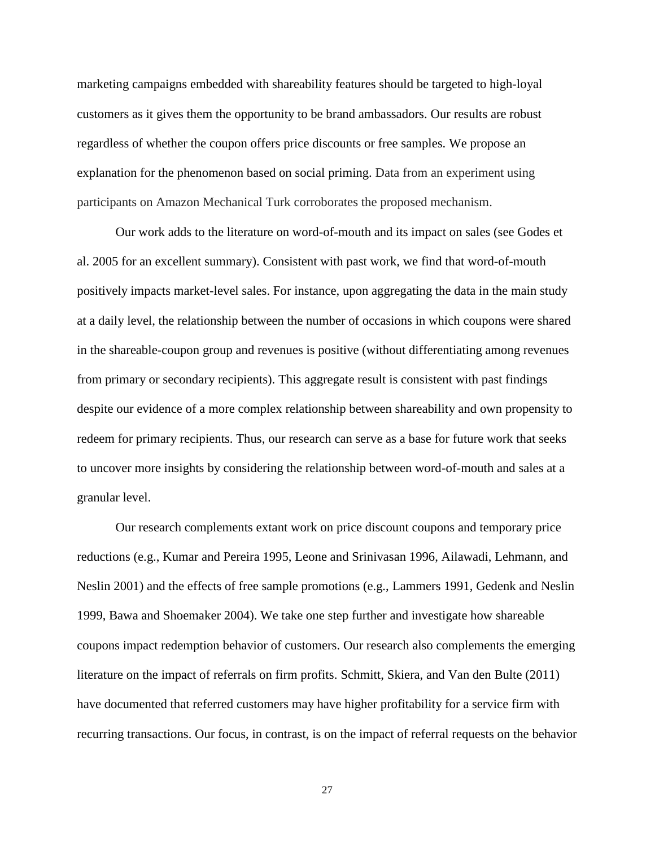marketing campaigns embedded with shareability features should be targeted to high-loyal customers as it gives them the opportunity to be brand ambassadors. Our results are robust regardless of whether the coupon offers price discounts or free samples. We propose an explanation for the phenomenon based on social priming. Data from an experiment using participants on Amazon Mechanical Turk corroborates the proposed mechanism.

Our work adds to the literature on word-of-mouth and its impact on sales (see Godes et al. 2005 for an excellent summary). Consistent with past work, we find that word-of-mouth positively impacts market-level sales. For instance, upon aggregating the data in the main study at a daily level, the relationship between the number of occasions in which coupons were shared in the shareable-coupon group and revenues is positive (without differentiating among revenues from primary or secondary recipients). This aggregate result is consistent with past findings despite our evidence of a more complex relationship between shareability and own propensity to redeem for primary recipients. Thus, our research can serve as a base for future work that seeks to uncover more insights by considering the relationship between word-of-mouth and sales at a granular level.

Our research complements extant work on price discount coupons and temporary price reductions (e.g., Kumar and Pereira 1995, Leone and Srinivasan 1996, Ailawadi, Lehmann, and Neslin 2001) and the effects of free sample promotions (e.g., Lammers 1991, Gedenk and Neslin 1999, Bawa and Shoemaker 2004). We take one step further and investigate how shareable coupons impact redemption behavior of customers. Our research also complements the emerging literature on the impact of referrals on firm profits. Schmitt, Skiera, and Van den Bulte (2011) have documented that referred customers may have higher profitability for a service firm with recurring transactions. Our focus, in contrast, is on the impact of referral requests on the behavior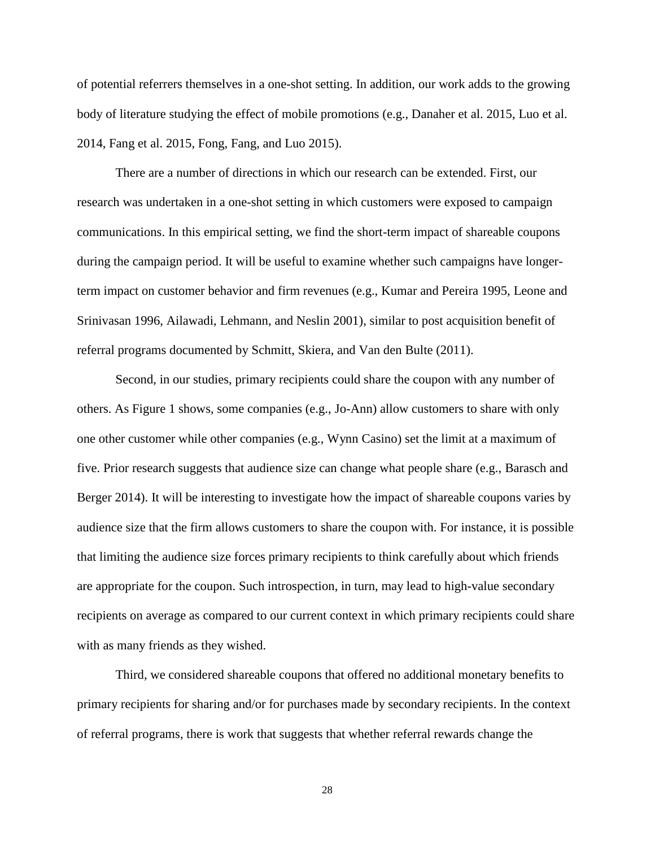of potential referrers themselves in a one-shot setting. In addition, our work adds to the growing body of literature studying the effect of mobile promotions (e.g., Danaher et al. 2015, Luo et al. 2014, Fang et al. 2015, Fong, Fang, and Luo 2015).

There are a number of directions in which our research can be extended. First, our research was undertaken in a one-shot setting in which customers were exposed to campaign communications. In this empirical setting, we find the short-term impact of shareable coupons during the campaign period. It will be useful to examine whether such campaigns have longerterm impact on customer behavior and firm revenues (e.g., Kumar and Pereira 1995, Leone and Srinivasan 1996, Ailawadi, Lehmann, and Neslin 2001), similar to post acquisition benefit of referral programs documented by Schmitt, Skiera, and Van den Bulte (2011).

Second, in our studies, primary recipients could share the coupon with any number of others. As Figure 1 shows, some companies (e.g., Jo-Ann) allow customers to share with only one other customer while other companies (e.g., Wynn Casino) set the limit at a maximum of five. Prior research suggests that audience size can change what people share (e.g., Barasch and Berger 2014). It will be interesting to investigate how the impact of shareable coupons varies by audience size that the firm allows customers to share the coupon with. For instance, it is possible that limiting the audience size forces primary recipients to think carefully about which friends are appropriate for the coupon. Such introspection, in turn, may lead to high-value secondary recipients on average as compared to our current context in which primary recipients could share with as many friends as they wished.

Third, we considered shareable coupons that offered no additional monetary benefits to primary recipients for sharing and/or for purchases made by secondary recipients. In the context of referral programs, there is work that suggests that whether referral rewards change the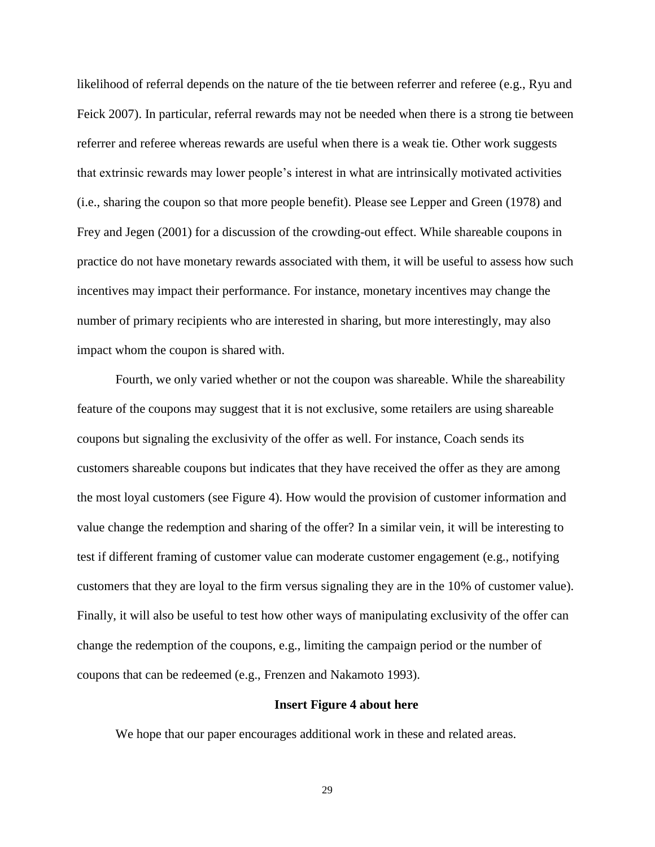likelihood of referral depends on the nature of the tie between referrer and referee (e.g., Ryu and Feick 2007). In particular, referral rewards may not be needed when there is a strong tie between referrer and referee whereas rewards are useful when there is a weak tie. Other work suggests that extrinsic rewards may lower people's interest in what are intrinsically motivated activities (i.e., sharing the coupon so that more people benefit). Please see Lepper and Green (1978) and Frey and Jegen (2001) for a discussion of the crowding-out effect. While shareable coupons in practice do not have monetary rewards associated with them, it will be useful to assess how such incentives may impact their performance. For instance, monetary incentives may change the number of primary recipients who are interested in sharing, but more interestingly, may also impact whom the coupon is shared with.

Fourth, we only varied whether or not the coupon was shareable. While the shareability feature of the coupons may suggest that it is not exclusive, some retailers are using shareable coupons but signaling the exclusivity of the offer as well. For instance, Coach sends its customers shareable coupons but indicates that they have received the offer as they are among the most loyal customers (see Figure 4). How would the provision of customer information and value change the redemption and sharing of the offer? In a similar vein, it will be interesting to test if different framing of customer value can moderate customer engagement (e.g., notifying customers that they are loyal to the firm versus signaling they are in the 10% of customer value). Finally, it will also be useful to test how other ways of manipulating exclusivity of the offer can change the redemption of the coupons, e.g., limiting the campaign period or the number of coupons that can be redeemed (e.g., Frenzen and Nakamoto 1993).

#### **Insert Figure 4 about here**

We hope that our paper encourages additional work in these and related areas.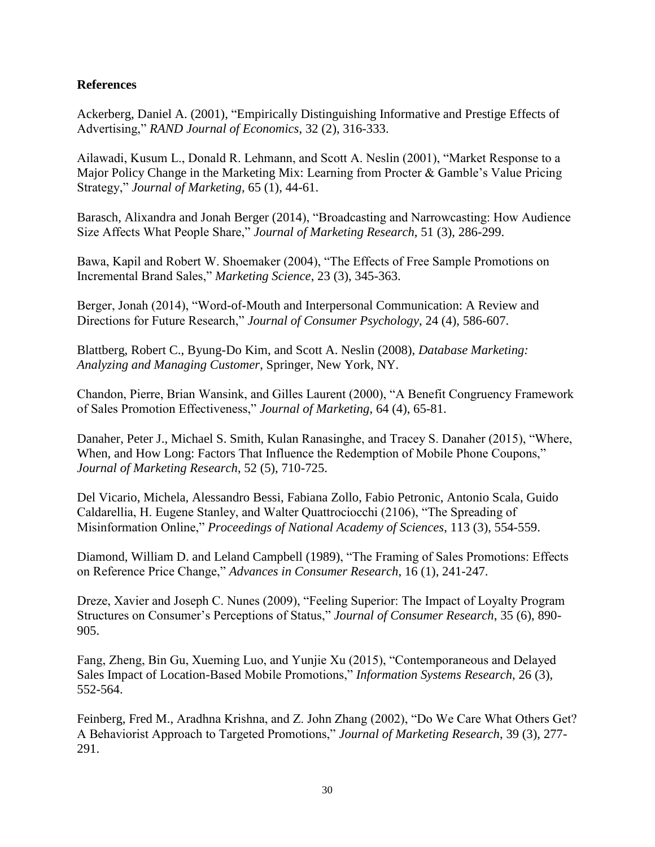## **References**

Ackerberg, Daniel A. (2001), "Empirically Distinguishing Informative and Prestige Effects of Advertising," *RAND Journal of Economics*, 32 (2), 316-333.

Ailawadi, Kusum L., Donald R. Lehmann, and Scott A. Neslin (2001), "Market Response to a Major Policy Change in the Marketing Mix: Learning from Procter & Gamble's Value Pricing Strategy," *Journal of Marketing*, 65 (1), 44-61.

Barasch, Alixandra and Jonah Berger (2014), "Broadcasting and Narrowcasting: How Audience Size Affects What People Share," *Journal of Marketing Research*, 51 (3), 286-299.

Bawa, Kapil and Robert W. Shoemaker (2004), "The Effects of Free Sample Promotions on Incremental Brand Sales," *Marketing Science*, 23 (3), 345-363.

Berger, Jonah (2014), "Word-of-Mouth and Interpersonal Communication: A Review and Directions for Future Research," *Journal of Consumer Psychology*, 24 (4), 586-607.

Blattberg, Robert C., Byung-Do Kim, and Scott A. Neslin (2008), *Database Marketing: Analyzing and Managing Customer*, Springer, New York, NY.

Chandon, Pierre, Brian Wansink, and Gilles Laurent (2000), "A Benefit Congruency Framework of Sales Promotion Effectiveness," *Journal of Marketing*, 64 (4), 65-81.

Danaher, Peter J., Michael S. Smith, Kulan Ranasinghe, and Tracey S. Danaher (2015), "Where, When, and How Long: Factors That Influence the Redemption of Mobile Phone Coupons," *Journal of Marketing Research*, 52 (5), 710-725.

Del Vicario, Michela, Alessandro Bessi, Fabiana Zollo, Fabio Petronic, Antonio Scala, Guido Caldarellia, H. Eugene Stanley, and Walter Quattrociocchi (2106), "The Spreading of Misinformation Online," *Proceedings of National Academy of Sciences*, 113 (3), 554-559.

Diamond, William D. and Leland Campbell (1989), "The Framing of Sales Promotions: Effects on Reference Price Change," *Advances in Consumer Research*, 16 (1), 241-247.

Dreze, Xavier and Joseph C. Nunes (2009), "Feeling Superior: The Impact of Loyalty Program Structures on Consumer's Perceptions of Status," *Journal of Consumer Research*, 35 (6), 890- 905.

Fang, Zheng, Bin Gu, Xueming Luo, and Yunjie Xu (2015), "Contemporaneous and Delayed Sales Impact of Location-Based Mobile Promotions," *Information Systems Research*, 26 (3), 552-564.

Feinberg, Fred M., Aradhna Krishna, and Z. John Zhang (2002), "Do We Care What Others Get? A Behaviorist Approach to Targeted Promotions," *Journal of Marketing Research*, 39 (3), 277- 291.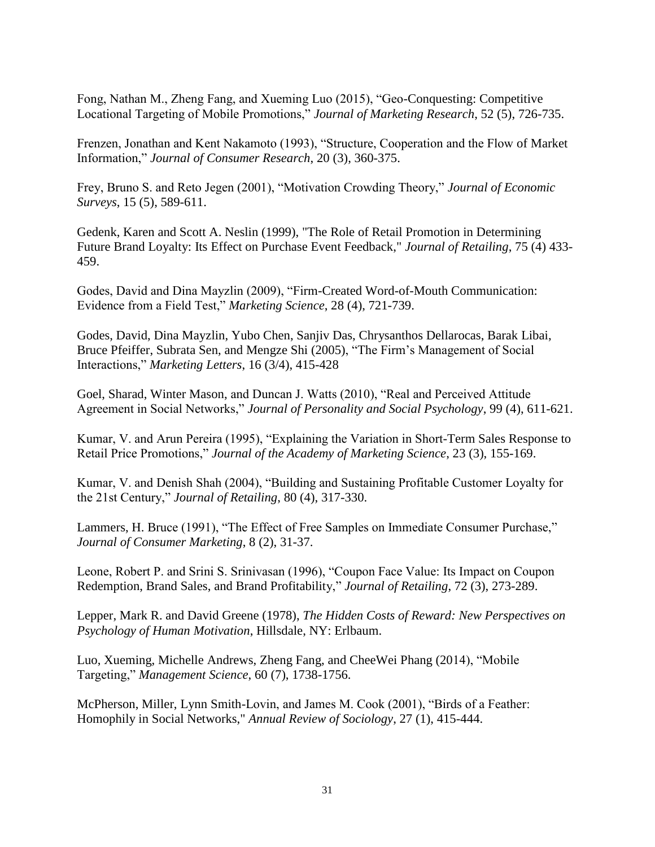Fong, Nathan M., Zheng Fang, and Xueming Luo (2015), "Geo-Conquesting: Competitive Locational Targeting of Mobile Promotions," *Journal of Marketing Research*, 52 (5), 726-735.

Frenzen, Jonathan and Kent Nakamoto (1993), "Structure, Cooperation and the Flow of Market Information," *Journal of Consumer Research*, 20 (3), 360-375.

Frey, Bruno S. and Reto Jegen (2001), "Motivation Crowding Theory," *Journal of Economic Surveys*, 15 (5), 589-611.

Gedenk, Karen and Scott A. Neslin (1999), "The Role of Retail Promotion in Determining Future Brand Loyalty: Its Effect on Purchase Event Feedback," *Journal of Retailing*, 75 (4) 433- 459.

Godes, David and Dina Mayzlin (2009), "Firm-Created Word-of-Mouth Communication: Evidence from a Field Test," *Marketing Science*, 28 (4), 721-739.

Godes, David, Dina Mayzlin, Yubo Chen, Sanjiv Das, Chrysanthos Dellarocas, Barak Libai, Bruce Pfeiffer, Subrata Sen, and Mengze Shi (2005), "The Firm's Management of Social Interactions," *Marketing Letters*, 16 (3/4), 415-428

Goel, Sharad, Winter Mason, and Duncan J. Watts (2010), "Real and Perceived Attitude Agreement in Social Networks," *Journal of Personality and Social Psychology*, 99 (4), 611-621.

Kumar, V. and Arun Pereira (1995), "Explaining the Variation in Short-Term Sales Response to Retail Price Promotions," *Journal of the Academy of Marketing Science*, 23 (3), 155-169.

Kumar, V. and Denish Shah (2004), "Building and Sustaining Profitable Customer Loyalty for the 21st Century," *Journal of Retailing*, 80 (4), 317-330.

Lammers, H. Bruce (1991), "The Effect of Free Samples on Immediate Consumer Purchase," *Journal of Consumer Marketing*, 8 (2), 31-37.

Leone, Robert P. and Srini S. Srinivasan (1996), "Coupon Face Value: Its Impact on Coupon Redemption, Brand Sales, and Brand Profitability," *Journal of Retailing*, 72 (3), 273-289.

Lepper, Mark R. and David Greene (1978), *The Hidden Costs of Reward: New Perspectives on Psychology of Human Motivation*, Hillsdale, NY: Erlbaum.

Luo, Xueming, Michelle Andrews, Zheng Fang, and CheeWei Phang (2014), "Mobile Targeting," *Management Science*, 60 (7), 1738-1756.

McPherson, Miller, Lynn Smith-Lovin, and James M. Cook (2001), "Birds of a Feather: Homophily in Social Networks," *Annual Review of Sociology*, 27 (1), 415-444.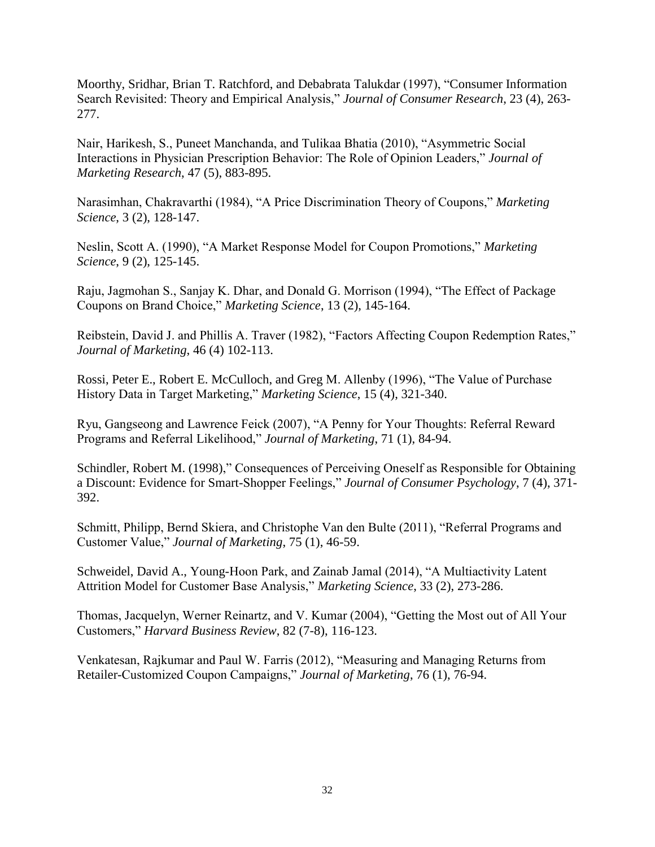Moorthy, Sridhar, Brian T. Ratchford, and Debabrata Talukdar (1997), "Consumer Information Search Revisited: Theory and Empirical Analysis," *Journal of Consumer Research*, 23 (4), 263- 277.

Nair, Harikesh, S., Puneet Manchanda, and Tulikaa Bhatia (2010), "Asymmetric Social Interactions in Physician Prescription Behavior: The Role of Opinion Leaders," *Journal of Marketing Research*, 47 (5), 883-895.

Narasimhan, Chakravarthi (1984), "A Price Discrimination Theory of Coupons," *Marketing Science*, 3 (2), 128-147.

Neslin, Scott A. (1990), "A Market Response Model for Coupon Promotions," *Marketing Science*, 9 (2), 125-145.

Raju, Jagmohan S., Sanjay K. Dhar, and Donald G. Morrison (1994), "The Effect of Package Coupons on Brand Choice," *Marketing Science*, 13 (2), 145-164.

Reibstein, David J. and Phillis A. Traver (1982), "Factors Affecting Coupon Redemption Rates," *Journal of Marketing*, 46 (4) 102-113.

Rossi, Peter E., Robert E. McCulloch, and Greg M. Allenby (1996), "The Value of Purchase History Data in Target Marketing," *Marketing Science*, 15 (4), 321-340.

Ryu, Gangseong and Lawrence Feick (2007), "A Penny for Your Thoughts: Referral Reward Programs and Referral Likelihood," *Journal of Marketing*, 71 (1), 84-94.

Schindler, Robert M. (1998)," Consequences of Perceiving Oneself as Responsible for Obtaining a Discount: Evidence for Smart-Shopper Feelings," *Journal of Consumer Psychology*, 7 (4), 371- 392.

Schmitt, Philipp, Bernd Skiera, and Christophe Van den Bulte (2011), "Referral Programs and Customer Value," *Journal of Marketing*, 75 (1), 46-59.

Schweidel, David A., Young-Hoon Park, and Zainab Jamal (2014), "A Multiactivity Latent Attrition Model for Customer Base Analysis," *Marketing Science*, 33 (2), 273-286.

Thomas, Jacquelyn, Werner Reinartz, and V. Kumar (2004), "Getting the Most out of All Your Customers," *Harvard Business Review*, 82 (7-8), 116-123.

Venkatesan, Rajkumar and Paul W. Farris (2012), "Measuring and Managing Returns from Retailer-Customized Coupon Campaigns," *Journal of Marketing*, 76 (1), 76-94.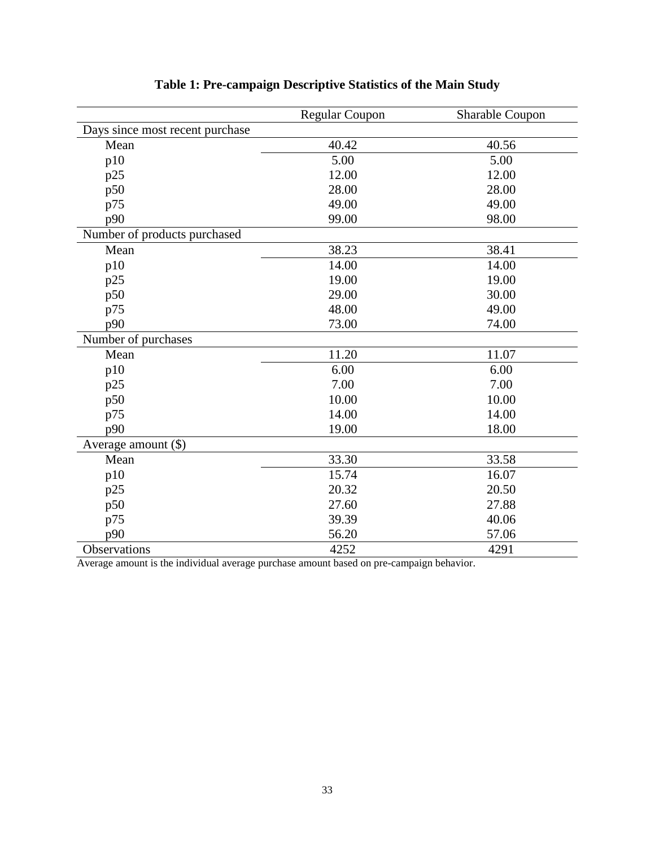|                                 | <b>Regular Coupon</b> | <b>Sharable Coupon</b> |
|---------------------------------|-----------------------|------------------------|
| Days since most recent purchase |                       |                        |
| Mean                            | 40.42                 | 40.56                  |
| p10                             | 5.00                  | 5.00                   |
| p25                             | 12.00                 | 12.00                  |
| p50                             | 28.00                 | 28.00                  |
| p75                             | 49.00                 | 49.00                  |
| p90                             | 99.00                 | 98.00                  |
| Number of products purchased    |                       |                        |
| Mean                            | 38.23                 | 38.41                  |
| p10                             | 14.00                 | 14.00                  |
| p25                             | 19.00                 | 19.00                  |
| p50                             | 29.00                 | 30.00                  |
| p75                             | 48.00                 | 49.00                  |
| p90                             | 73.00                 | 74.00                  |
| Number of purchases             |                       |                        |
| Mean                            | 11.20                 | 11.07                  |
| p10                             | 6.00                  | 6.00                   |
| p25                             | 7.00                  | 7.00                   |
| p50                             | 10.00                 | 10.00                  |
| p75                             | 14.00                 | 14.00                  |
| p90                             | 19.00                 | 18.00                  |
| Average amount $(\$)$           |                       |                        |
| Mean                            | 33.30                 | 33.58                  |
| p10                             | 15.74                 | 16.07                  |
| p25                             | 20.32                 | 20.50                  |
| p50                             | 27.60                 | 27.88                  |
| p75                             | 39.39                 | 40.06                  |
| p90                             | 56.20                 | 57.06                  |
| Observations                    | 4252                  | 4291                   |

# **Table 1: Pre-campaign Descriptive Statistics of the Main Study**

Average amount is the individual average purchase amount based on pre-campaign behavior.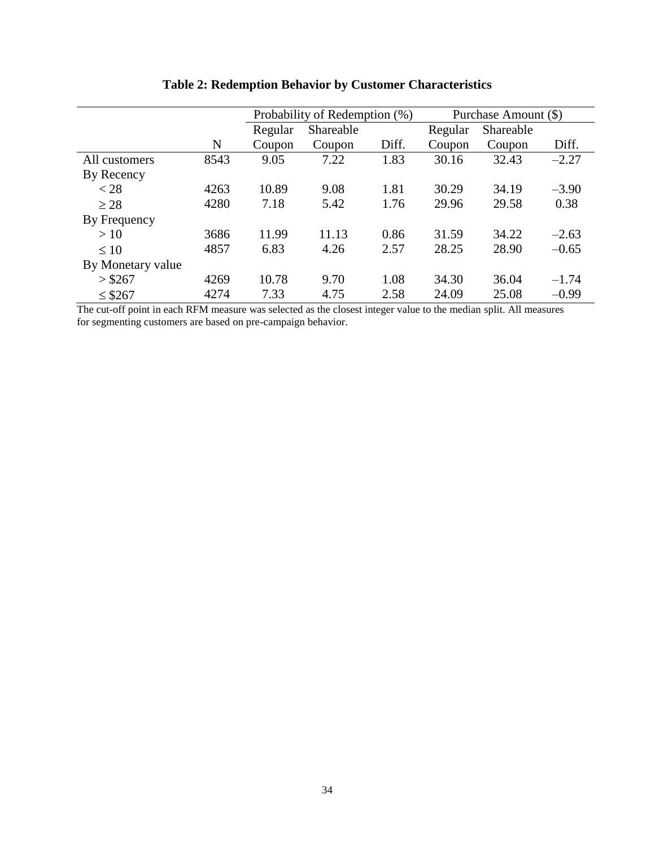|                   |      | Probability of Redemption (%) |           | Purchase Amount (\$) |         |           |         |
|-------------------|------|-------------------------------|-----------|----------------------|---------|-----------|---------|
|                   |      | Regular                       | Shareable |                      | Regular | Shareable |         |
|                   | N    | Coupon                        | Coupon    | Diff.                | Coupon  | Coupon    | Diff.   |
| All customers     | 8543 | 9.05                          | 7.22      | 1.83                 | 30.16   | 32.43     | $-2.27$ |
| By Recency        |      |                               |           |                      |         |           |         |
| $<$ 28            | 4263 | 10.89                         | 9.08      | 1.81                 | 30.29   | 34.19     | $-3.90$ |
| $\geq 28$         | 4280 | 7.18                          | 5.42      | 1.76                 | 29.96   | 29.58     | 0.38    |
| By Frequency      |      |                               |           |                      |         |           |         |
| >10               | 3686 | 11.99                         | 11.13     | 0.86                 | 31.59   | 34.22     | $-2.63$ |
| $\leq 10$         | 4857 | 6.83                          | 4.26      | 2.57                 | 28.25   | 28.90     | $-0.65$ |
| By Monetary value |      |                               |           |                      |         |           |         |
| $>$ \$267         | 4269 | 10.78                         | 9.70      | 1.08                 | 34.30   | 36.04     | $-1.74$ |
| $\leq$ \$267      | 4274 | 7.33                          | 4.75      | 2.58                 | 24.09   | 25.08     | $-0.99$ |

# **Table 2: Redemption Behavior by Customer Characteristics**

The cut-off point in each RFM measure was selected as the closest integer value to the median split. All measures for segmenting customers are based on pre-campaign behavior.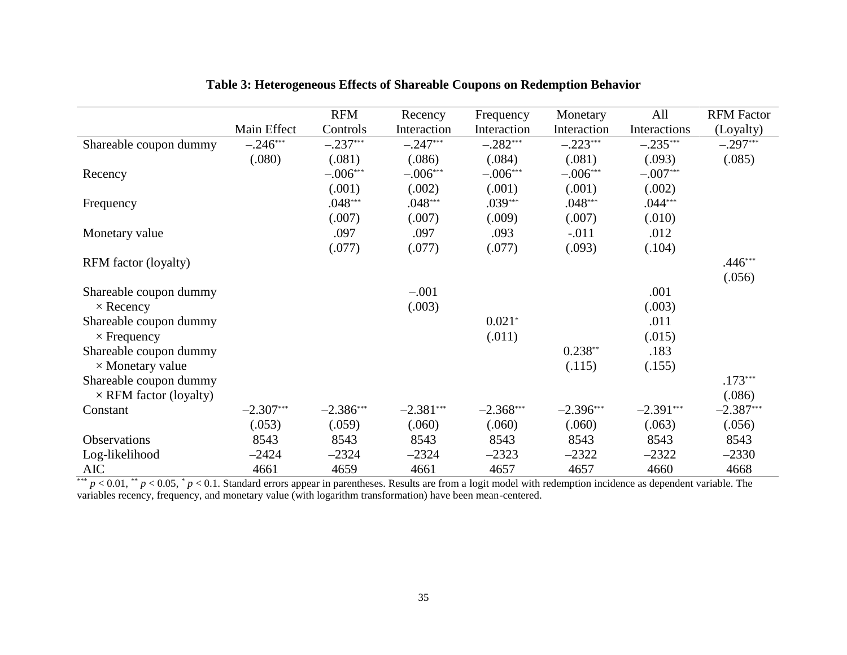|                               |             | <b>RFM</b>  | Recency     | Frequency   | Monetary    | All          | <b>RFM Factor</b> |
|-------------------------------|-------------|-------------|-------------|-------------|-------------|--------------|-------------------|
|                               | Main Effect | Controls    | Interaction | Interaction | Interaction | Interactions | (Loyalty)         |
| Shareable coupon dummy        | $-.246***$  | $-.237***$  | $-.247***$  | $-.282***$  | $-.223***$  | $-.235***$   | $-.297***$        |
|                               | (.080)      | (.081)      | (.086)      | (.084)      | (.081)      | (.093)       | (.085)            |
| Recency                       |             | $-.006***$  | $-.006***$  | $-.006***$  | $-.006***$  | $-.007***$   |                   |
|                               |             | (.001)      | (.002)      | (.001)      | (.001)      | (.002)       |                   |
| Frequency                     |             | $.048***$   | $.048***$   | $.039***$   | $.048***$   | $.044***$    |                   |
|                               |             | (.007)      | (.007)      | (.009)      | (.007)      | (.010)       |                   |
| Monetary value                |             | .097        | .097        | .093        | $-.011$     | .012         |                   |
|                               |             | (.077)      | (.077)      | (.077)      | (.093)      | (.104)       |                   |
| RFM factor (loyalty)          |             |             |             |             |             |              | $.446***$         |
|                               |             |             |             |             |             |              | (.056)            |
| Shareable coupon dummy        |             |             | $-.001$     |             |             | .001         |                   |
| $\times$ Recency              |             |             | (.003)      |             |             | (.003)       |                   |
| Shareable coupon dummy        |             |             |             | $0.021*$    |             | .011         |                   |
| $\times$ Frequency            |             |             |             | (.011)      |             | (.015)       |                   |
| Shareable coupon dummy        |             |             |             |             | $0.238**$   | .183         |                   |
| $\times$ Monetary value       |             |             |             |             | (.115)      | (.155)       |                   |
| Shareable coupon dummy        |             |             |             |             |             |              | $.173***$         |
| $\times$ RFM factor (loyalty) |             |             |             |             |             |              | (.086)            |
| Constant                      | $-2.307***$ | $-2.386***$ | $-2.381***$ | $-2.368***$ | $-2.396***$ | $-2.391***$  | $-2.387***$       |
|                               | (.053)      | (.059)      | (.060)      | (.060)      | (.060)      | (.063)       | (.056)            |
| <b>Observations</b>           | 8543        | 8543        | 8543        | 8543        | 8543        | 8543         | 8543              |
| Log-likelihood                | $-2424$     | $-2324$     | $-2324$     | $-2323$     | $-2322$     | $-2322$      | $-2330$           |
| <b>AIC</b>                    | 4661        | 4659        | 4661        | 4657        | 4657        | 4660         | 4668              |

# **Table 3: Heterogeneous Effects of Shareable Coupons on Redemption Behavior**

 $^{***}$  *p* < 0.01,  $^{**}$  *p* < 0.05,  $^{*}$  *p* < 0.1. Standard errors appear in parentheses. Results are from a logit model with redemption incidence as dependent variable. The variables recency, frequency, and monetary value (with logarithm transformation) have been mean-centered.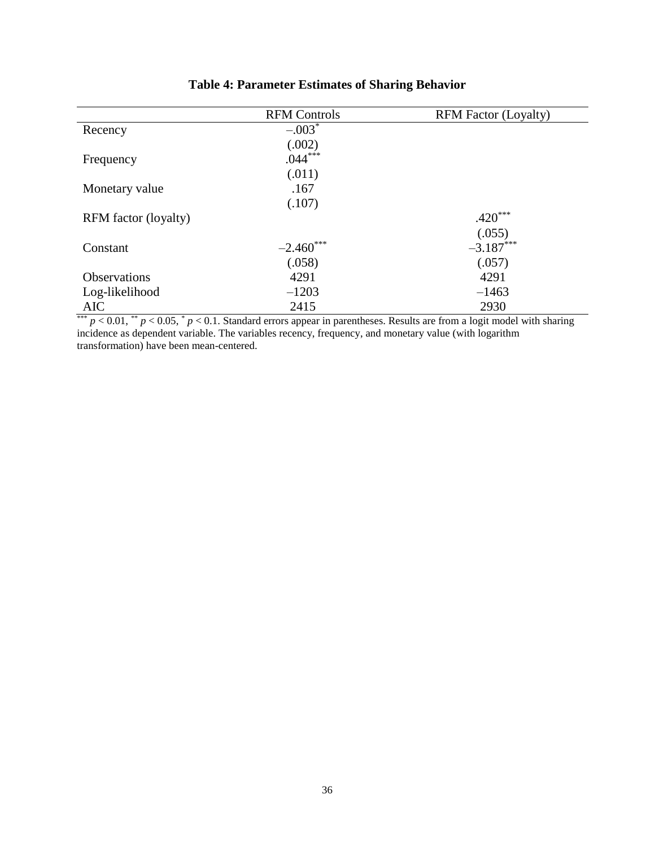|                                      | <b>RFM Controls</b> | <b>RFM Factor (Loyalty)</b> |
|--------------------------------------|---------------------|-----------------------------|
| Recency                              | $-.003*$            |                             |
|                                      | (.002)              |                             |
| Frequency                            | $.044***$           |                             |
|                                      | (.011)              |                             |
| Monetary value                       | .167                |                             |
|                                      | (.107)              |                             |
| RFM factor (loyalty)                 |                     | $.420***$                   |
|                                      |                     | (.055)                      |
| Constant                             | $-2.460$ ***        | $-3.187***$                 |
|                                      | (.058)              | (.057)                      |
| <b>Observations</b>                  | 4291                | 4291                        |
| Log-likelihood                       | $-1203$             | $-1463$                     |
| <b>AIC</b><br>$-1$<br>$-1$<br>$\sim$ | 2415                | 2930                        |

# **Table 4: Parameter Estimates of Sharing Behavior**

\*\*\*  $p < 0.01$ , \*\*  $p < 0.05$ , \*  $p < 0.1$ . Standard errors appear in parentheses. Results are from a logit model with sharing incidence as dependent variable. The variables recency, frequency, and monetary value (with logarithm transformation) have been mean-centered.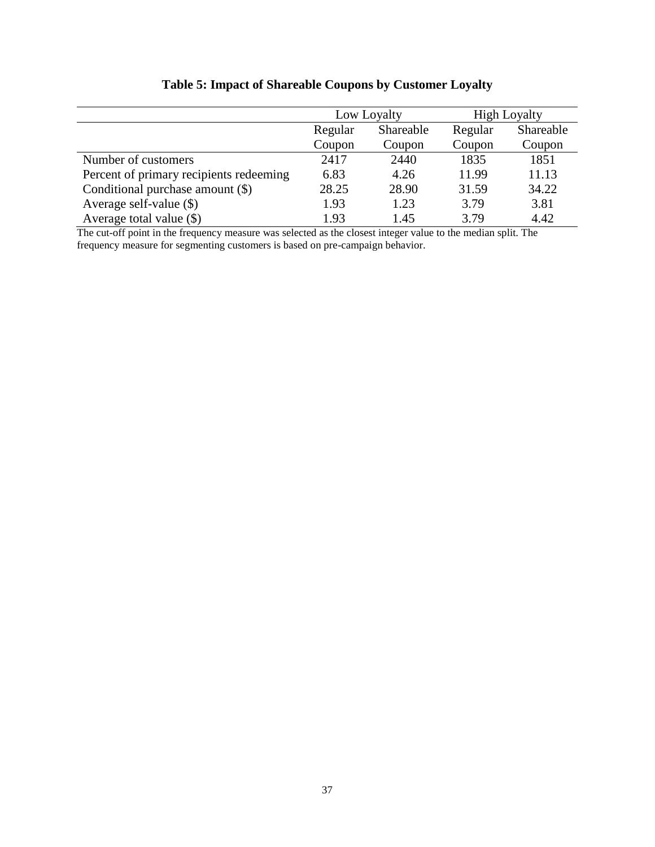|                                         |                      | Low Loyalty | <b>High Loyalty</b> |           |
|-----------------------------------------|----------------------|-------------|---------------------|-----------|
|                                         | Shareable<br>Regular |             | Regular             | Shareable |
|                                         | Coupon               | Coupon      | Coupon              | Coupon    |
| Number of customers                     | 2417                 | 2440        | 1835                | 1851      |
| Percent of primary recipients redeeming | 6.83                 | 4.26        | 11.99               | 11.13     |
| Conditional purchase amount (\$)        | 28.25                | 28.90       | 31.59               | 34.22     |
| Average self-value $(\$)$               | 1.93                 | 1.23        | 3.79                | 3.81      |
| Average total value $(\$)$              | 1.93                 | 1.45        | 3.79                | 4.42      |

# **Table 5: Impact of Shareable Coupons by Customer Loyalty**

The cut-off point in the frequency measure was selected as the closest integer value to the median split. The frequency measure for segmenting customers is based on pre-campaign behavior.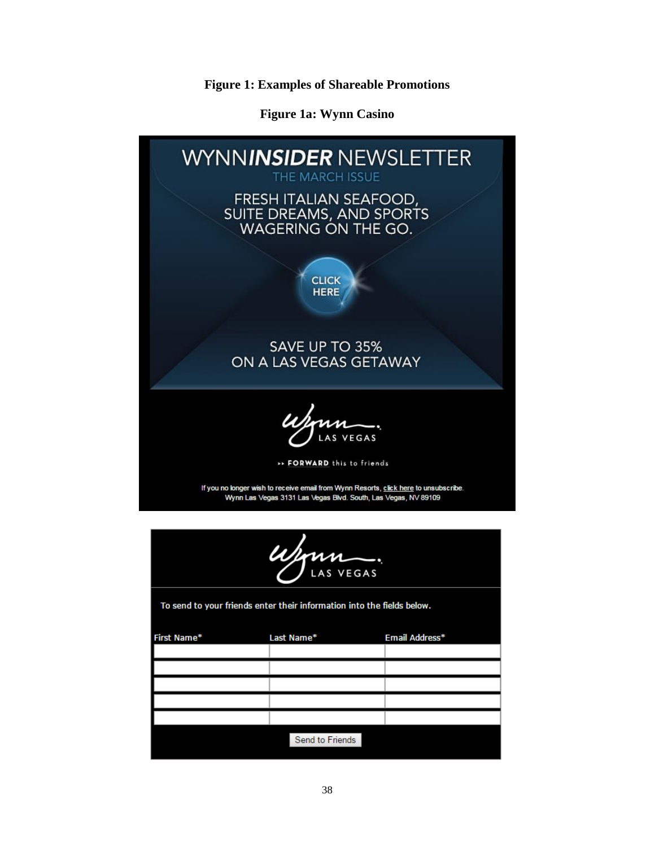**Figure 1: Examples of Shareable Promotions**

**Figure 1a: Wynn Casino**

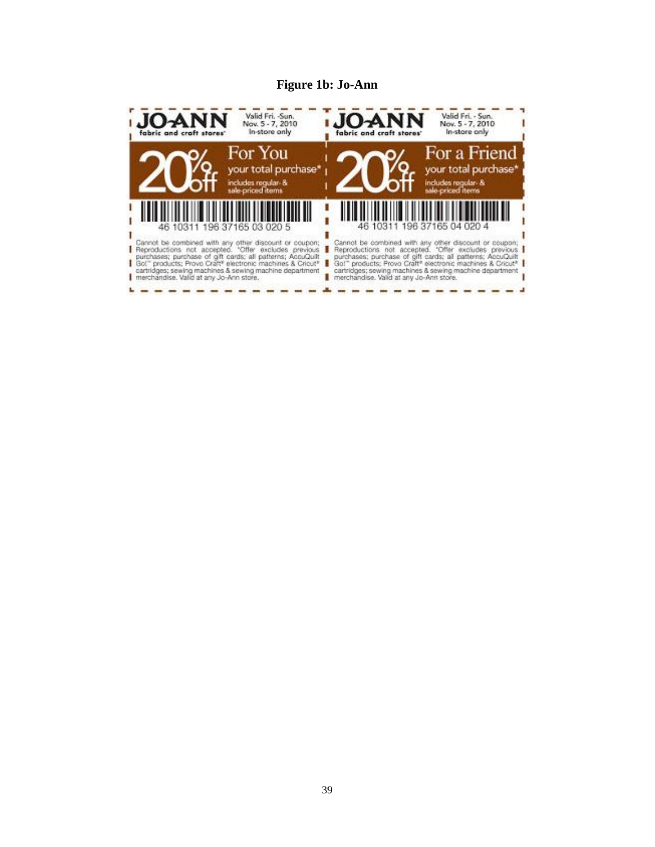## **Figure 1b: Jo-Ann**

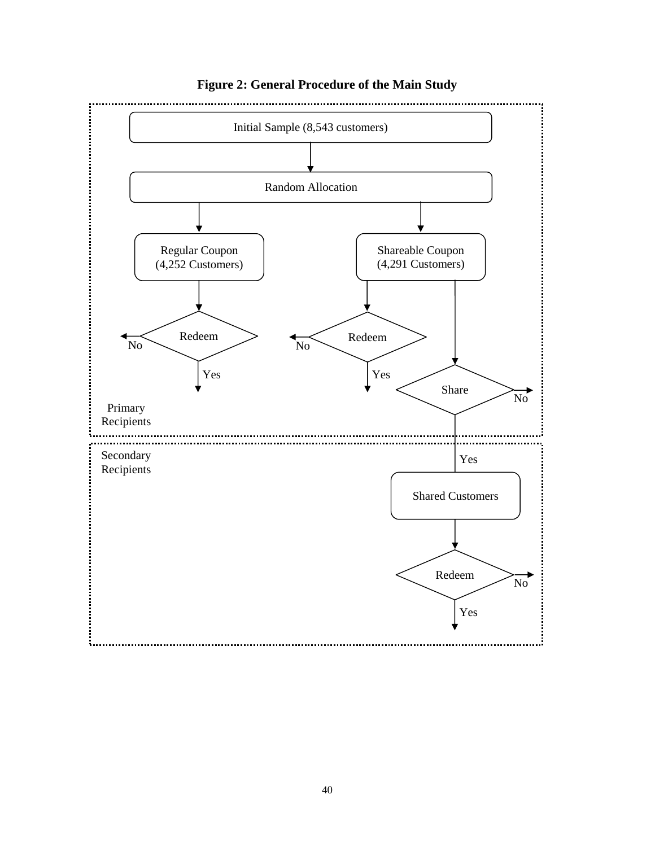

# **Figure 2: General Procedure of the Main Study**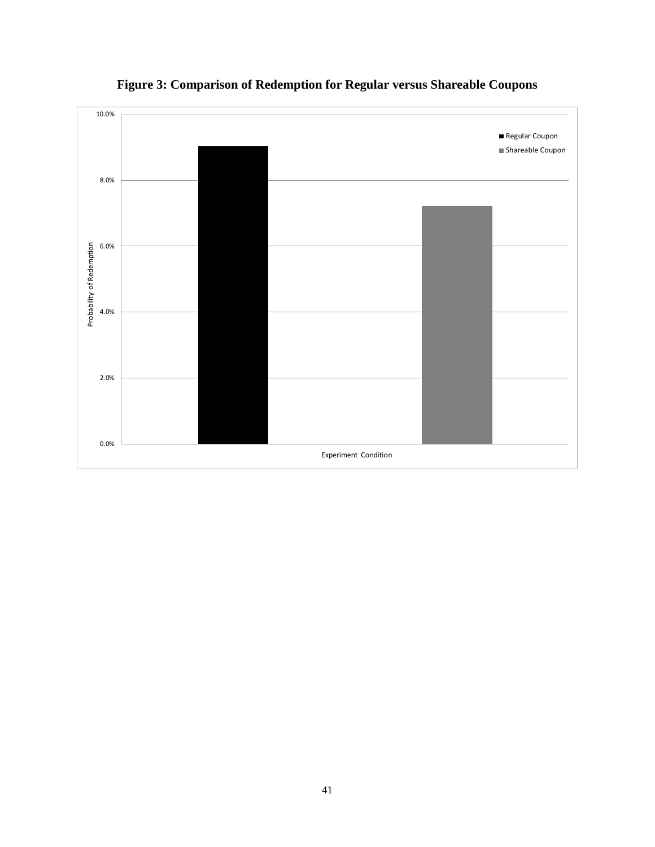

**Figure 3: Comparison of Redemption for Regular versus Shareable Coupons**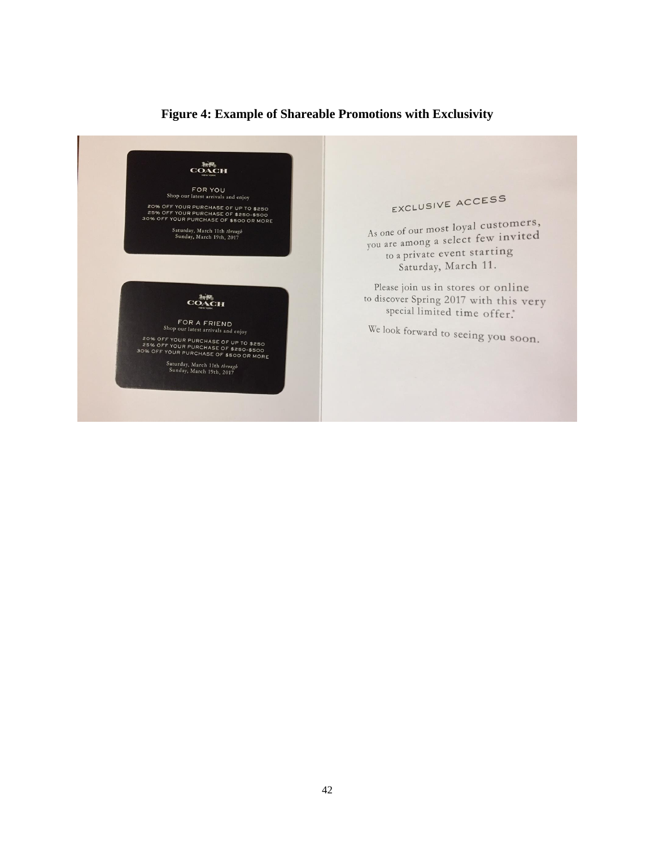# COACH FOR YOU<br>Shop our latest arrivals and enjoy EXCLUSIVE ACCESS or Frou and a music and enjoy<br>20% OFF YOUR PURCHASE OF \$250<br>25% OFF YOUR PURCHASE OF \$250-\$500<br>30% OFF YOUR PURCHASE OF \$500 OR MORE As one of our most loyal customers, Saturday, March 11th through<br>Sunday, March 19th, 2017 As one of our most loyal cases. to a private event starting Saturday, March 11. Please join us in stores or online to discover Spring 2017 with this very COACH special limited time offer." FOR A FRIEND<br>Shop our latest arrivals and enjoy We look forward to seeing you soon. The PURP COMPARES IN THE STATE OF SESSION OF PURPLIKE AND SESSION CONSIDERS AND SESSION AND RESPONSIVE SUPPLY THAT THE SUPPLY OF SESSION AND RESPONSIVE OF SESSION AND RESPONSIVE OF SESSION BOOK AND RESPONSIVE OF SESSION AN Saturday, March 11th through<br>Sunday, March 19th, 2017

# **Figure 4: Example of Shareable Promotions with Exclusivity**